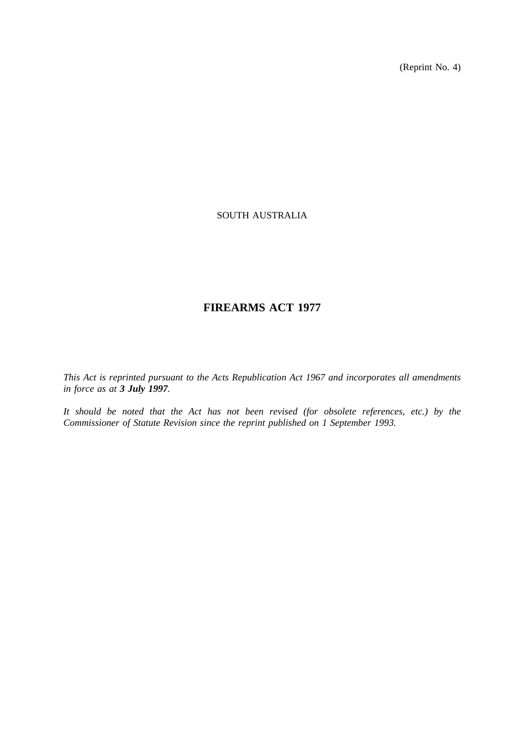(Reprint No. 4)

# SOUTH AUSTRALIA

# **FIREARMS ACT 1977**

*This Act is reprinted pursuant to the Acts Republication Act 1967 and incorporates all amendments in force as at 3 July 1997.*

*It should be noted that the Act has not been revised (for obsolete references, etc.) by the Commissioner of Statute Revision since the reprint published on 1 September 1993.*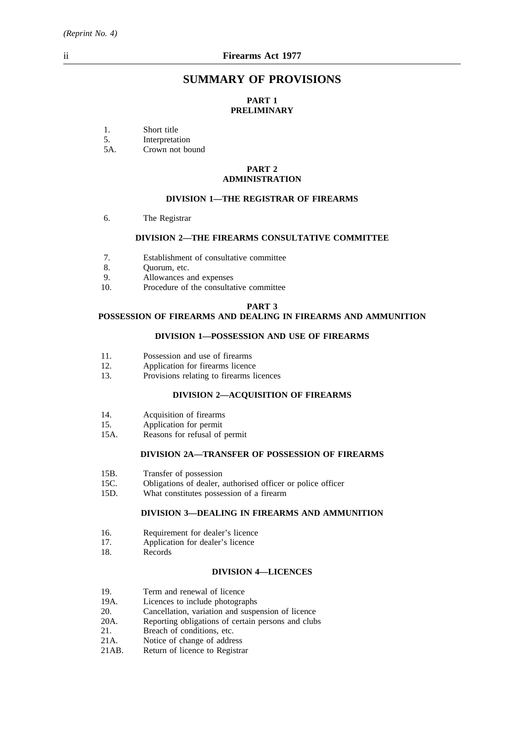# **SUMMARY OF PROVISIONS**

# **PART 1 PRELIMINARY**

1. Short title<br>5. Interpretat

5. Interpretation<br>5A. Crown not bo

Crown not bound

#### **PART 2 ADMINISTRATION**

#### **DIVISION 1—THE REGISTRAR OF FIREARMS**

6. The Registrar

## **DIVISION 2—THE FIREARMS CONSULTATIVE COMMITTEE**

- 7. Establishment of consultative committee
- 8. Quorum, etc.
- 9. Allowances and expenses
- 10. Procedure of the consultative committee

#### **PART 3**

# **POSSESSION OF FIREARMS AND DEALING IN FIREARMS AND AMMUNITION**

#### **DIVISION 1—POSSESSION AND USE OF FIREARMS**

- 11. Possession and use of firearms
- 12. Application for firearms licence
- 13. Provisions relating to firearms licences

#### **DIVISION 2—ACQUISITION OF FIREARMS**

- 14. Acquisition of firearms
- 15. Application for permit
- 15A. Reasons for refusal of permit

## **DIVISION 2A—TRANSFER OF POSSESSION OF FIREARMS**

- 15B. Transfer of possession
- 15C. Obligations of dealer, authorised officer or police officer
- 15D. What constitutes possession of a firearm

#### **DIVISION 3—DEALING IN FIREARMS AND AMMUNITION**

- 16. Requirement for dealer's licence
- 17. Application for dealer's licence<br>18. Records
- Records

#### **DIVISION 4—LICENCES**

- 19. Term and renewal of licence<br>19A. Licences to include photogra
- Licences to include photographs
- 20. Cancellation, variation and suspension of licence
- 20A. Reporting obligations of certain persons and clubs<br>21. Breach of conditions, etc.
- 21. Breach of conditions, etc.<br>21A. Notice of change of address
- 21A. Notice of change of address<br>21AB. Return of licence to Registra
- Return of licence to Registrar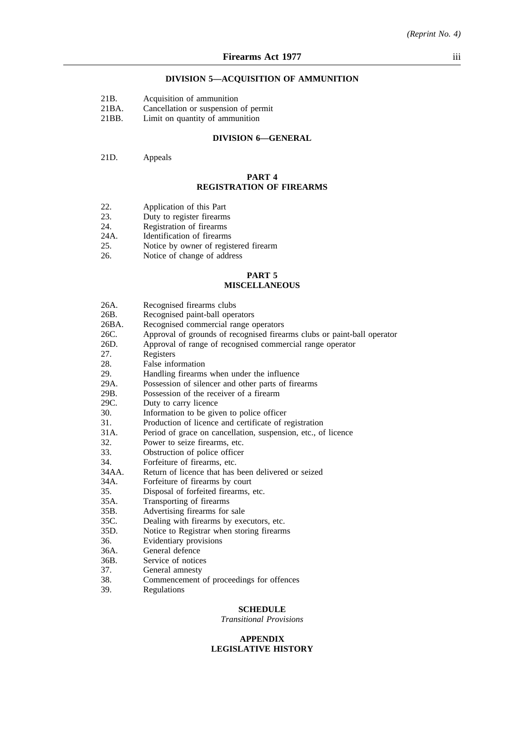#### **DIVISION 5—ACQUISITION OF AMMUNITION**

|  | 21 <sub>B</sub> |  |  | Acquisition of ammunition |
|--|-----------------|--|--|---------------------------|
|--|-----------------|--|--|---------------------------|

- 21BA. Cancellation or suspension of permit
- 21BB. Limit on quantity of ammunition

#### **DIVISION 6—GENERAL**

#### 21D. Appeals

#### **PART 4 REGISTRATION OF FIREARMS**

- 22. Application of this Part<br>23. Duty to register firearms
- 23. Duty to register firearms<br>24. Registration of firearms
- 24. Registration of firearms<br>24A. Identification of firearms
- 24A. Identification of firearms<br>25. Notice by owner of regist
- 25. Notice by owner of registered firearm<br>26. Notice of change of address
- Notice of change of address

#### **PART 5 MISCELLANEOUS**

| 26A.  | Recognised firearms clubs                                               |
|-------|-------------------------------------------------------------------------|
| 26B.  | Recognised paint-ball operators                                         |
| 26BA. | Recognised commercial range operators                                   |
| 26C.  | Approval of grounds of recognised firearms clubs or paint-ball operator |
| 26D.  | Approval of range of recognised commercial range operator               |
| 27.   | Registers                                                               |
| 28.   | False information                                                       |
| 29.   | Handling firearms when under the influence                              |
| 29A.  | Possession of silencer and other parts of firearms                      |
| 29B.  | Possession of the receiver of a firearm                                 |
| 29C.  | Duty to carry licence                                                   |
| 30.   | Information to be given to police officer                               |
| 31.   | Production of licence and certificate of registration                   |
| 31A.  | Period of grace on cancellation, suspension, etc., of licence           |
| 32.   | Power to seize firearms, etc.                                           |
| 33.   | Obstruction of police officer                                           |
| 34.   | Forfeiture of firearms, etc.                                            |
| 34AA. | Return of licence that has been delivered or seized                     |
| 34A.  | Forfeiture of firearms by court                                         |
| 35.   | Disposal of forfeited firearms, etc.                                    |
| 35A.  | Transporting of firearms                                                |
| 35B.  | Advertising firearms for sale                                           |
| 35C.  | Dealing with firearms by executors, etc.                                |
| 35D.  | Notice to Registrar when storing firearms                               |
| 36.   | Evidentiary provisions                                                  |
| 36A.  | General defence                                                         |
| 36B.  | Service of notices                                                      |
| 37.   | General amnesty                                                         |
| 38.   | Commencement of proceedings for offences                                |
| 39.   | Regulations                                                             |

#### **SCHEDULE**

*Transitional Provisions*

#### **APPENDIX LEGISLATIVE HISTORY**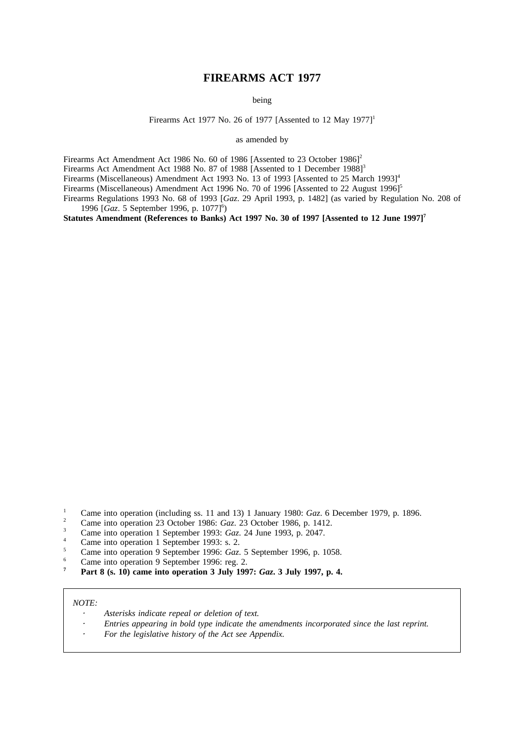# **FIREARMS ACT 1977**

being

Firearms Act 1977 No. 26 of 1977 [Assented to 12 May 1977]<sup>1</sup>

as amended by

Firearms Act Amendment Act 1986 No. 60 of 1986 [Assented to 23 October 1986]<sup>2</sup>

Firearms Act Amendment Act 1988 No. 87 of 1988 [Assented to 1 December 1988]<sup>3</sup>

Firearms (Miscellaneous) Amendment Act 1993 No. 13 of 1993 [Assented to 25 March 1993]<sup>4</sup>

Firearms (Miscellaneous) Amendment Act 1996 No. 70 of 1996 [Assented to 22 August 1996]<sup>5</sup>

Firearms Regulations 1993 No. 68 of 1993 [*Gaz*. 29 April 1993, p. 1482] (as varied by Regulation No. 208 of 1996 [Gaz. 5 September 1996, p. 1077]<sup>6</sup>)

Statutes Amendment (References to Banks) Act 1997 No. 30 of 1997 [Assented to 12 June 1997]<sup>7</sup>

- <sup>2</sup> Came into operation 23 October 1986: *Gaz*. 23 October 1986, p. 1412.
- <sup>3</sup> Came into operation 1 September 1993: *Gaz*. 24 June 1993, p. 2047.
- <sup>4</sup> Came into operation 1 September 1993: s. 2.
- <sup>5</sup> Came into operation 9 September 1996: *Gaz*. 5 September 1996, p. 1058.
- <sup>6</sup> Came into operation 9 September 1996: reg. 2.<br> $\frac{7}{2}$  Part 8 (c. 10) some into approximal 2 July 190
- **<sup>7</sup> Part 8 (s. 10) came into operation 3 July 1997:** *Gaz***. 3 July 1997, p. 4.**

#### *NOTE:*

- *Asterisks indicate repeal or deletion of text.*
- *Entries appearing in bold type indicate the amendments incorporated since the last reprint.*
- *For the legislative history of the Act see Appendix.*

<sup>&</sup>lt;sup>1</sup> Came into operation (including ss. 11 and 13) 1 January 1980: *Gaz*. 6 December 1979, p. 1896.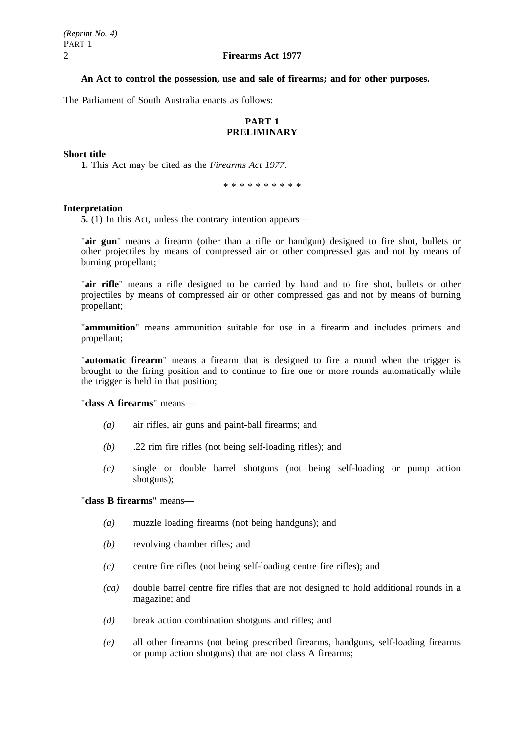# **An Act to control the possession, use and sale of firearms; and for other purposes.**

The Parliament of South Australia enacts as follows:

# **PART 1 PRELIMINARY**

## **Short title**

**1.** This Act may be cited as the *Firearms Act 1977*.

\*\*\*\*\*\*\*\*\*\*

#### **Interpretation**

**5.** (1) In this Act, unless the contrary intention appears—

"**air gun**" means a firearm (other than a rifle or handgun) designed to fire shot, bullets or other projectiles by means of compressed air or other compressed gas and not by means of burning propellant;

"**air rifle**" means a rifle designed to be carried by hand and to fire shot, bullets or other projectiles by means of compressed air or other compressed gas and not by means of burning propellant;

"**ammunition**" means ammunition suitable for use in a firearm and includes primers and propellant;

"**automatic firearm**" means a firearm that is designed to fire a round when the trigger is brought to the firing position and to continue to fire one or more rounds automatically while the trigger is held in that position;

"**class A firearms**" means—

- *(a)* air rifles, air guns and paint-ball firearms; and
- *(b)* .22 rim fire rifles (not being self-loading rifles); and
- *(c)* single or double barrel shotguns (not being self-loading or pump action shotguns);

# "**class B firearms**" means—

- *(a)* muzzle loading firearms (not being handguns); and
- *(b)* revolving chamber rifles; and
- *(c)* centre fire rifles (not being self-loading centre fire rifles); and
- *(ca)* double barrel centre fire rifles that are not designed to hold additional rounds in a magazine; and
- *(d)* break action combination shotguns and rifles; and
- *(e)* all other firearms (not being prescribed firearms, handguns, self-loading firearms or pump action shotguns) that are not class A firearms;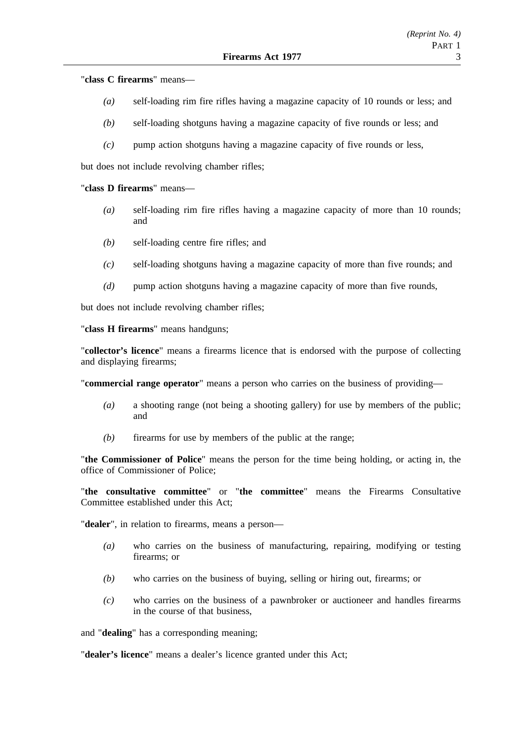"**class C firearms**" means—

- *(a)* self-loading rim fire rifles having a magazine capacity of 10 rounds or less; and
- *(b)* self-loading shotguns having a magazine capacity of five rounds or less; and
- *(c)* pump action shotguns having a magazine capacity of five rounds or less,

but does not include revolving chamber rifles;

## "**class D firearms**" means—

- *(a)* self-loading rim fire rifles having a magazine capacity of more than 10 rounds; and
- *(b)* self-loading centre fire rifles; and
- *(c)* self-loading shotguns having a magazine capacity of more than five rounds; and
- *(d)* pump action shotguns having a magazine capacity of more than five rounds,

but does not include revolving chamber rifles;

"**class H firearms**" means handguns;

"**collector's licence**" means a firearms licence that is endorsed with the purpose of collecting and displaying firearms;

"**commercial range operator**" means a person who carries on the business of providing—

- *(a)* a shooting range (not being a shooting gallery) for use by members of the public; and
- *(b)* firearms for use by members of the public at the range;

"**the Commissioner of Police**" means the person for the time being holding, or acting in, the office of Commissioner of Police;

"**the consultative committee**" or "**the committee**" means the Firearms Consultative Committee established under this Act;

"**dealer**", in relation to firearms, means a person—

- *(a)* who carries on the business of manufacturing, repairing, modifying or testing firearms; or
- *(b)* who carries on the business of buying, selling or hiring out, firearms; or
- *(c)* who carries on the business of a pawnbroker or auctioneer and handles firearms in the course of that business,

and "**dealing**" has a corresponding meaning;

"**dealer's licence**" means a dealer's licence granted under this Act;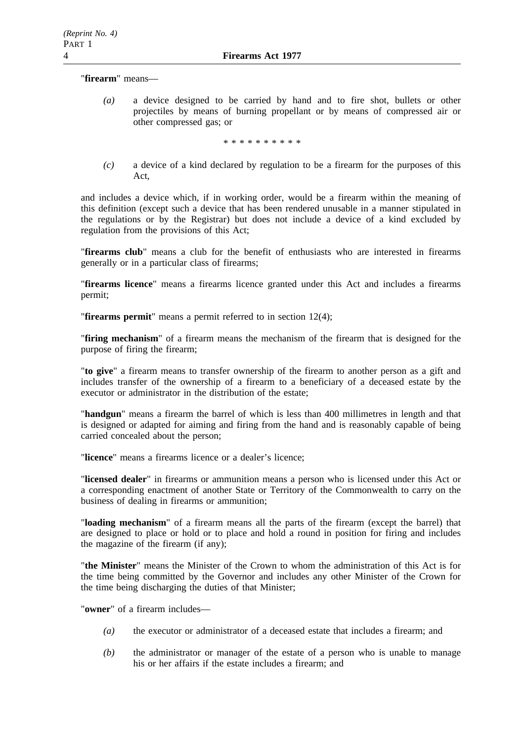"**firearm**" means—

*(a)* a device designed to be carried by hand and to fire shot, bullets or other projectiles by means of burning propellant or by means of compressed air or other compressed gas; or

\*\*\*\*\*\*\*\*\*\*

*(c)* a device of a kind declared by regulation to be a firearm for the purposes of this Act,

and includes a device which, if in working order, would be a firearm within the meaning of this definition (except such a device that has been rendered unusable in a manner stipulated in the regulations or by the Registrar) but does not include a device of a kind excluded by regulation from the provisions of this Act;

"**firearms club**" means a club for the benefit of enthusiasts who are interested in firearms generally or in a particular class of firearms;

"**firearms licence**" means a firearms licence granted under this Act and includes a firearms permit;

"**firearms permit**" means a permit referred to in section 12(4);

"**firing mechanism**" of a firearm means the mechanism of the firearm that is designed for the purpose of firing the firearm;

"**to give**" a firearm means to transfer ownership of the firearm to another person as a gift and includes transfer of the ownership of a firearm to a beneficiary of a deceased estate by the executor or administrator in the distribution of the estate;

"**handgun**" means a firearm the barrel of which is less than 400 millimetres in length and that is designed or adapted for aiming and firing from the hand and is reasonably capable of being carried concealed about the person;

"**licence**" means a firearms licence or a dealer's licence;

"**licensed dealer**" in firearms or ammunition means a person who is licensed under this Act or a corresponding enactment of another State or Territory of the Commonwealth to carry on the business of dealing in firearms or ammunition;

"**loading mechanism**" of a firearm means all the parts of the firearm (except the barrel) that are designed to place or hold or to place and hold a round in position for firing and includes the magazine of the firearm (if any);

"**the Minister**" means the Minister of the Crown to whom the administration of this Act is for the time being committed by the Governor and includes any other Minister of the Crown for the time being discharging the duties of that Minister;

"**owner**" of a firearm includes—

- *(a)* the executor or administrator of a deceased estate that includes a firearm; and
- *(b)* the administrator or manager of the estate of a person who is unable to manage his or her affairs if the estate includes a firearm; and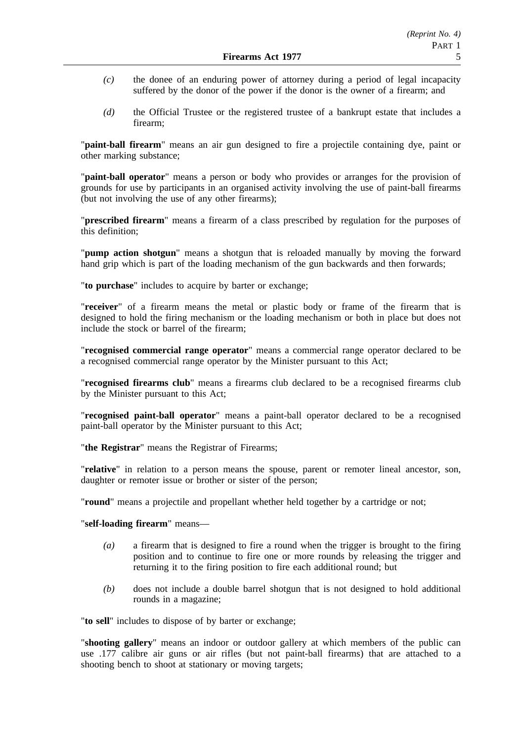- *(c)* the donee of an enduring power of attorney during a period of legal incapacity suffered by the donor of the power if the donor is the owner of a firearm; and
- *(d)* the Official Trustee or the registered trustee of a bankrupt estate that includes a firearm;

"**paint-ball firearm**" means an air gun designed to fire a projectile containing dye, paint or other marking substance;

"**paint-ball operator**" means a person or body who provides or arranges for the provision of grounds for use by participants in an organised activity involving the use of paint-ball firearms (but not involving the use of any other firearms);

"**prescribed firearm**" means a firearm of a class prescribed by regulation for the purposes of this definition;

"**pump action shotgun**" means a shotgun that is reloaded manually by moving the forward hand grip which is part of the loading mechanism of the gun backwards and then forwards;

"**to purchase**" includes to acquire by barter or exchange;

"**receiver**" of a firearm means the metal or plastic body or frame of the firearm that is designed to hold the firing mechanism or the loading mechanism or both in place but does not include the stock or barrel of the firearm;

"**recognised commercial range operator**" means a commercial range operator declared to be a recognised commercial range operator by the Minister pursuant to this Act;

"**recognised firearms club**" means a firearms club declared to be a recognised firearms club by the Minister pursuant to this Act;

"**recognised paint-ball operator**" means a paint-ball operator declared to be a recognised paint-ball operator by the Minister pursuant to this Act;

"**the Registrar**" means the Registrar of Firearms;

"**relative**" in relation to a person means the spouse, parent or remoter lineal ancestor, son, daughter or remoter issue or brother or sister of the person;

"**round**" means a projectile and propellant whether held together by a cartridge or not;

## "**self-loading firearm**" means—

- *(a)* a firearm that is designed to fire a round when the trigger is brought to the firing position and to continue to fire one or more rounds by releasing the trigger and returning it to the firing position to fire each additional round; but
- *(b)* does not include a double barrel shotgun that is not designed to hold additional rounds in a magazine;

"**to sell**" includes to dispose of by barter or exchange;

"**shooting gallery**" means an indoor or outdoor gallery at which members of the public can use .177 calibre air guns or air rifles (but not paint-ball firearms) that are attached to a shooting bench to shoot at stationary or moving targets;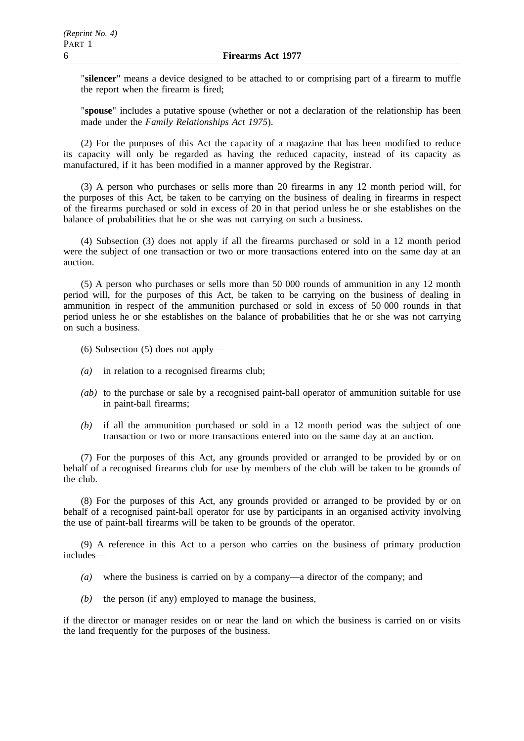"**silencer**" means a device designed to be attached to or comprising part of a firearm to muffle the report when the firearm is fired;

"**spouse**" includes a putative spouse (whether or not a declaration of the relationship has been made under the *Family Relationships Act 1975*).

(2) For the purposes of this Act the capacity of a magazine that has been modified to reduce its capacity will only be regarded as having the reduced capacity, instead of its capacity as manufactured, if it has been modified in a manner approved by the Registrar.

(3) A person who purchases or sells more than 20 firearms in any 12 month period will, for the purposes of this Act, be taken to be carrying on the business of dealing in firearms in respect of the firearms purchased or sold in excess of 20 in that period unless he or she establishes on the balance of probabilities that he or she was not carrying on such a business.

(4) Subsection (3) does not apply if all the firearms purchased or sold in a 12 month period were the subject of one transaction or two or more transactions entered into on the same day at an auction.

(5) A person who purchases or sells more than 50 000 rounds of ammunition in any 12 month period will, for the purposes of this Act, be taken to be carrying on the business of dealing in ammunition in respect of the ammunition purchased or sold in excess of 50 000 rounds in that period unless he or she establishes on the balance of probabilities that he or she was not carrying on such a business.

- (6) Subsection (5) does not apply—
- *(a)* in relation to a recognised firearms club;
- *(ab)* to the purchase or sale by a recognised paint-ball operator of ammunition suitable for use in paint-ball firearms;
- *(b)* if all the ammunition purchased or sold in a 12 month period was the subject of one transaction or two or more transactions entered into on the same day at an auction.

(7) For the purposes of this Act, any grounds provided or arranged to be provided by or on behalf of a recognised firearms club for use by members of the club will be taken to be grounds of the club.

(8) For the purposes of this Act, any grounds provided or arranged to be provided by or on behalf of a recognised paint-ball operator for use by participants in an organised activity involving the use of paint-ball firearms will be taken to be grounds of the operator.

(9) A reference in this Act to a person who carries on the business of primary production includes—

- *(a)* where the business is carried on by a company—a director of the company; and
- *(b)* the person (if any) employed to manage the business,

if the director or manager resides on or near the land on which the business is carried on or visits the land frequently for the purposes of the business.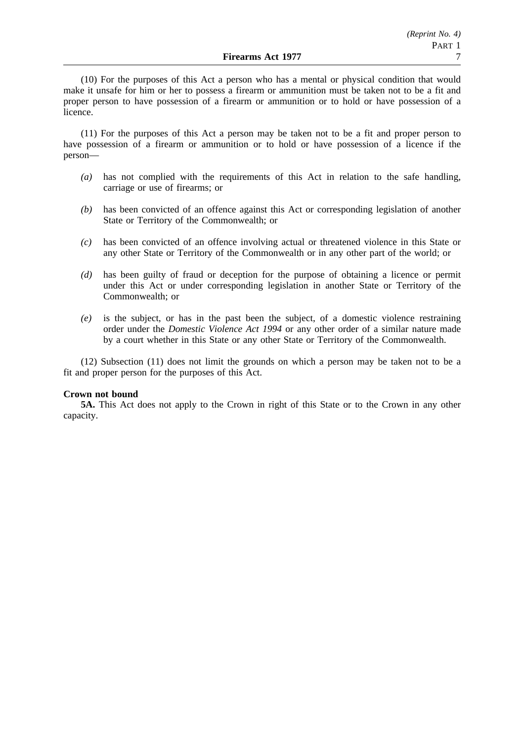(10) For the purposes of this Act a person who has a mental or physical condition that would make it unsafe for him or her to possess a firearm or ammunition must be taken not to be a fit and proper person to have possession of a firearm or ammunition or to hold or have possession of a licence.

(11) For the purposes of this Act a person may be taken not to be a fit and proper person to have possession of a firearm or ammunition or to hold or have possession of a licence if the person—

- *(a)* has not complied with the requirements of this Act in relation to the safe handling, carriage or use of firearms; or
- *(b)* has been convicted of an offence against this Act or corresponding legislation of another State or Territory of the Commonwealth; or
- *(c)* has been convicted of an offence involving actual or threatened violence in this State or any other State or Territory of the Commonwealth or in any other part of the world; or
- *(d)* has been guilty of fraud or deception for the purpose of obtaining a licence or permit under this Act or under corresponding legislation in another State or Territory of the Commonwealth; or
- *(e)* is the subject, or has in the past been the subject, of a domestic violence restraining order under the *Domestic Violence Act 1994* or any other order of a similar nature made by a court whether in this State or any other State or Territory of the Commonwealth.

(12) Subsection (11) does not limit the grounds on which a person may be taken not to be a fit and proper person for the purposes of this Act.

## **Crown not bound**

**5A.** This Act does not apply to the Crown in right of this State or to the Crown in any other capacity.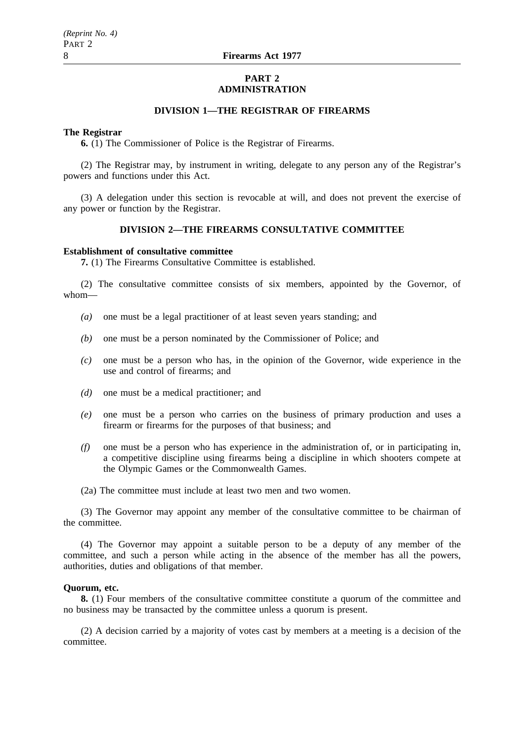#### **PART 2 ADMINISTRATION**

# **DIVISION 1—THE REGISTRAR OF FIREARMS**

#### **The Registrar**

**6.** (1) The Commissioner of Police is the Registrar of Firearms.

(2) The Registrar may, by instrument in writing, delegate to any person any of the Registrar's powers and functions under this Act.

(3) A delegation under this section is revocable at will, and does not prevent the exercise of any power or function by the Registrar.

# **DIVISION 2—THE FIREARMS CONSULTATIVE COMMITTEE**

#### **Establishment of consultative committee**

**7.** (1) The Firearms Consultative Committee is established.

(2) The consultative committee consists of six members, appointed by the Governor, of whom—

- *(a)* one must be a legal practitioner of at least seven years standing; and
- *(b)* one must be a person nominated by the Commissioner of Police; and
- *(c)* one must be a person who has, in the opinion of the Governor, wide experience in the use and control of firearms; and
- *(d)* one must be a medical practitioner; and
- *(e)* one must be a person who carries on the business of primary production and uses a firearm or firearms for the purposes of that business; and
- *(f)* one must be a person who has experience in the administration of, or in participating in, a competitive discipline using firearms being a discipline in which shooters compete at the Olympic Games or the Commonwealth Games.
- (2a) The committee must include at least two men and two women.

(3) The Governor may appoint any member of the consultative committee to be chairman of the committee.

(4) The Governor may appoint a suitable person to be a deputy of any member of the committee, and such a person while acting in the absence of the member has all the powers, authorities, duties and obligations of that member.

#### **Quorum, etc.**

**8.** (1) Four members of the consultative committee constitute a quorum of the committee and no business may be transacted by the committee unless a quorum is present.

(2) A decision carried by a majority of votes cast by members at a meeting is a decision of the committee.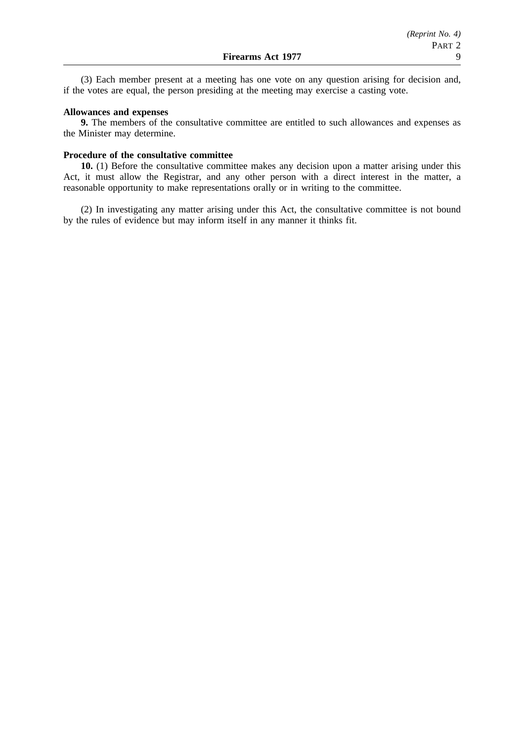(3) Each member present at a meeting has one vote on any question arising for decision and, if the votes are equal, the person presiding at the meeting may exercise a casting vote.

#### **Allowances and expenses**

**9.** The members of the consultative committee are entitled to such allowances and expenses as the Minister may determine.

#### **Procedure of the consultative committee**

**10.** (1) Before the consultative committee makes any decision upon a matter arising under this Act, it must allow the Registrar, and any other person with a direct interest in the matter, a reasonable opportunity to make representations orally or in writing to the committee.

(2) In investigating any matter arising under this Act, the consultative committee is not bound by the rules of evidence but may inform itself in any manner it thinks fit.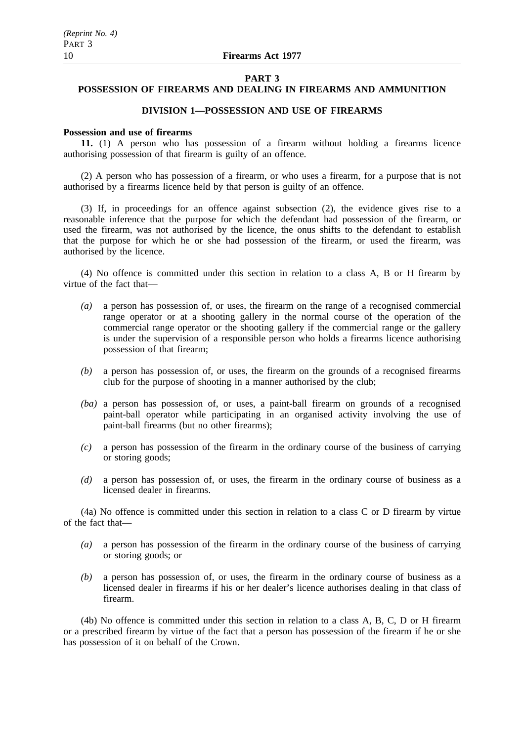#### **PART 3**

# **POSSESSION OF FIREARMS AND DEALING IN FIREARMS AND AMMUNITION**

# **DIVISION 1—POSSESSION AND USE OF FIREARMS**

## **Possession and use of firearms**

**11.** (1) A person who has possession of a firearm without holding a firearms licence authorising possession of that firearm is guilty of an offence.

(2) A person who has possession of a firearm, or who uses a firearm, for a purpose that is not authorised by a firearms licence held by that person is guilty of an offence.

(3) If, in proceedings for an offence against subsection (2), the evidence gives rise to a reasonable inference that the purpose for which the defendant had possession of the firearm, or used the firearm, was not authorised by the licence, the onus shifts to the defendant to establish that the purpose for which he or she had possession of the firearm, or used the firearm, was authorised by the licence.

(4) No offence is committed under this section in relation to a class A, B or H firearm by virtue of the fact that—

- *(a)* a person has possession of, or uses, the firearm on the range of a recognised commercial range operator or at a shooting gallery in the normal course of the operation of the commercial range operator or the shooting gallery if the commercial range or the gallery is under the supervision of a responsible person who holds a firearms licence authorising possession of that firearm;
- *(b)* a person has possession of, or uses, the firearm on the grounds of a recognised firearms club for the purpose of shooting in a manner authorised by the club;
- *(ba)* a person has possession of, or uses, a paint-ball firearm on grounds of a recognised paint-ball operator while participating in an organised activity involving the use of paint-ball firearms (but no other firearms);
- *(c)* a person has possession of the firearm in the ordinary course of the business of carrying or storing goods;
- *(d)* a person has possession of, or uses, the firearm in the ordinary course of business as a licensed dealer in firearms.

(4a) No offence is committed under this section in relation to a class C or D firearm by virtue of the fact that—

- *(a)* a person has possession of the firearm in the ordinary course of the business of carrying or storing goods; or
- *(b)* a person has possession of, or uses, the firearm in the ordinary course of business as a licensed dealer in firearms if his or her dealer's licence authorises dealing in that class of firearm.

(4b) No offence is committed under this section in relation to a class A, B, C, D or H firearm or a prescribed firearm by virtue of the fact that a person has possession of the firearm if he or she has possession of it on behalf of the Crown.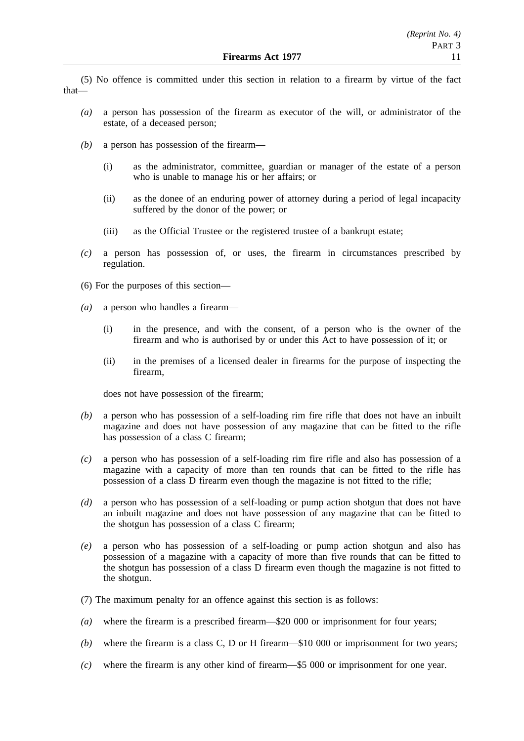(5) No offence is committed under this section in relation to a firearm by virtue of the fact that—

- *(a)* a person has possession of the firearm as executor of the will, or administrator of the estate, of a deceased person;
- *(b)* a person has possession of the firearm—
	- (i) as the administrator, committee, guardian or manager of the estate of a person who is unable to manage his or her affairs; or
	- (ii) as the donee of an enduring power of attorney during a period of legal incapacity suffered by the donor of the power; or
	- (iii) as the Official Trustee or the registered trustee of a bankrupt estate;
- *(c)* a person has possession of, or uses, the firearm in circumstances prescribed by regulation.
- (6) For the purposes of this section—
- *(a)* a person who handles a firearm—
	- (i) in the presence, and with the consent, of a person who is the owner of the firearm and who is authorised by or under this Act to have possession of it; or
	- (ii) in the premises of a licensed dealer in firearms for the purpose of inspecting the firearm,

does not have possession of the firearm;

- *(b)* a person who has possession of a self-loading rim fire rifle that does not have an inbuilt magazine and does not have possession of any magazine that can be fitted to the rifle has possession of a class C firearm;
- *(c)* a person who has possession of a self-loading rim fire rifle and also has possession of a magazine with a capacity of more than ten rounds that can be fitted to the rifle has possession of a class D firearm even though the magazine is not fitted to the rifle;
- *(d)* a person who has possession of a self-loading or pump action shotgun that does not have an inbuilt magazine and does not have possession of any magazine that can be fitted to the shotgun has possession of a class C firearm;
- *(e)* a person who has possession of a self-loading or pump action shotgun and also has possession of a magazine with a capacity of more than five rounds that can be fitted to the shotgun has possession of a class D firearm even though the magazine is not fitted to the shotgun.
- (7) The maximum penalty for an offence against this section is as follows:
- *(a)* where the firearm is a prescribed firearm—\$20 000 or imprisonment for four years;
- *(b)* where the firearm is a class C, D or H firearm—\$10 000 or imprisonment for two years;
- *(c)* where the firearm is any other kind of firearm—\$5 000 or imprisonment for one year.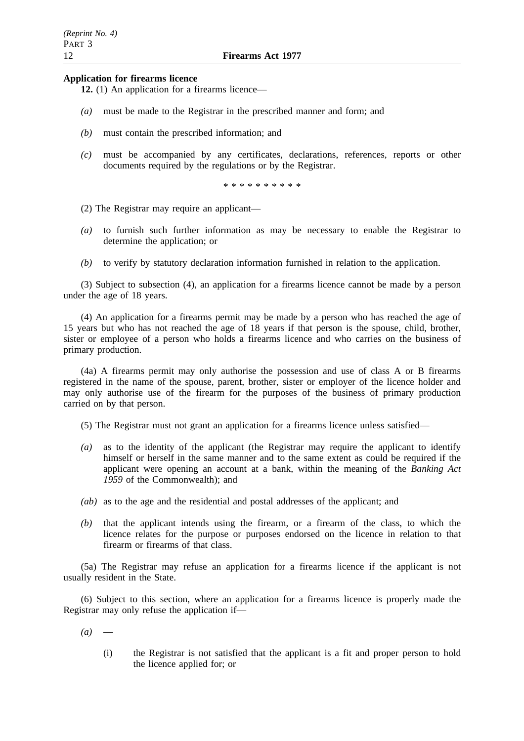## **Application for firearms licence**

**12.** (1) An application for a firearms licence—

- *(a)* must be made to the Registrar in the prescribed manner and form; and
- *(b)* must contain the prescribed information; and
- *(c)* must be accompanied by any certificates, declarations, references, reports or other documents required by the regulations or by the Registrar.

\*\*\*\*\*\*\*\*\*\*

- (2) The Registrar may require an applicant—
- *(a)* to furnish such further information as may be necessary to enable the Registrar to determine the application; or
- *(b)* to verify by statutory declaration information furnished in relation to the application.

(3) Subject to subsection (4), an application for a firearms licence cannot be made by a person under the age of 18 years.

(4) An application for a firearms permit may be made by a person who has reached the age of 15 years but who has not reached the age of 18 years if that person is the spouse, child, brother, sister or employee of a person who holds a firearms licence and who carries on the business of primary production.

(4a) A firearms permit may only authorise the possession and use of class A or B firearms registered in the name of the spouse, parent, brother, sister or employer of the licence holder and may only authorise use of the firearm for the purposes of the business of primary production carried on by that person.

(5) The Registrar must not grant an application for a firearms licence unless satisfied—

- *(a)* as to the identity of the applicant (the Registrar may require the applicant to identify himself or herself in the same manner and to the same extent as could be required if the applicant were opening an account at a bank, within the meaning of the *Banking Act 1959* of the Commonwealth); and
- *(ab)* as to the age and the residential and postal addresses of the applicant; and
- *(b)* that the applicant intends using the firearm, or a firearm of the class, to which the licence relates for the purpose or purposes endorsed on the licence in relation to that firearm or firearms of that class.

(5a) The Registrar may refuse an application for a firearms licence if the applicant is not usually resident in the State.

(6) Subject to this section, where an application for a firearms licence is properly made the Registrar may only refuse the application if—

 $(a)$  —

(i) the Registrar is not satisfied that the applicant is a fit and proper person to hold the licence applied for; or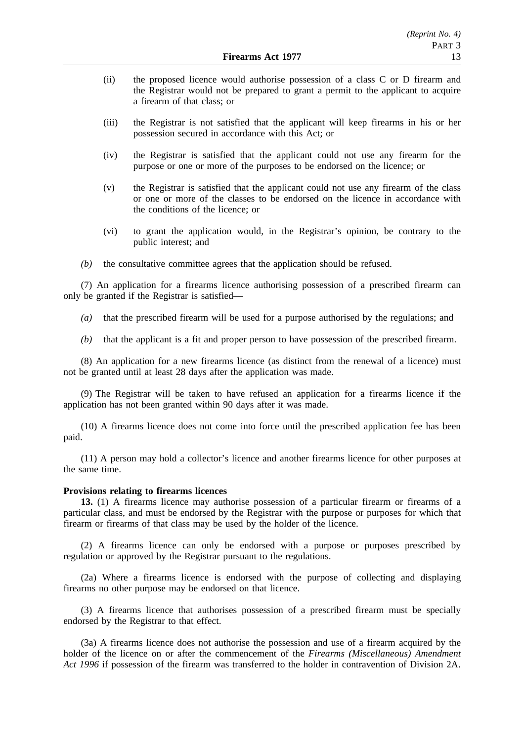- (ii) the proposed licence would authorise possession of a class C or D firearm and the Registrar would not be prepared to grant a permit to the applicant to acquire a firearm of that class; or
- (iii) the Registrar is not satisfied that the applicant will keep firearms in his or her possession secured in accordance with this Act; or
- (iv) the Registrar is satisfied that the applicant could not use any firearm for the purpose or one or more of the purposes to be endorsed on the licence; or
- (v) the Registrar is satisfied that the applicant could not use any firearm of the class or one or more of the classes to be endorsed on the licence in accordance with the conditions of the licence; or
- (vi) to grant the application would, in the Registrar's opinion, be contrary to the public interest; and
- *(b)* the consultative committee agrees that the application should be refused.

(7) An application for a firearms licence authorising possession of a prescribed firearm can only be granted if the Registrar is satisfied—

- *(a)* that the prescribed firearm will be used for a purpose authorised by the regulations; and
- *(b)* that the applicant is a fit and proper person to have possession of the prescribed firearm.

(8) An application for a new firearms licence (as distinct from the renewal of a licence) must not be granted until at least 28 days after the application was made.

(9) The Registrar will be taken to have refused an application for a firearms licence if the application has not been granted within 90 days after it was made.

(10) A firearms licence does not come into force until the prescribed application fee has been paid.

(11) A person may hold a collector's licence and another firearms licence for other purposes at the same time.

#### **Provisions relating to firearms licences**

**13.** (1) A firearms licence may authorise possession of a particular firearm or firearms of a particular class, and must be endorsed by the Registrar with the purpose or purposes for which that firearm or firearms of that class may be used by the holder of the licence.

(2) A firearms licence can only be endorsed with a purpose or purposes prescribed by regulation or approved by the Registrar pursuant to the regulations.

(2a) Where a firearms licence is endorsed with the purpose of collecting and displaying firearms no other purpose may be endorsed on that licence.

(3) A firearms licence that authorises possession of a prescribed firearm must be specially endorsed by the Registrar to that effect.

(3a) A firearms licence does not authorise the possession and use of a firearm acquired by the holder of the licence on or after the commencement of the *Firearms (Miscellaneous) Amendment Act 1996* if possession of the firearm was transferred to the holder in contravention of Division 2A.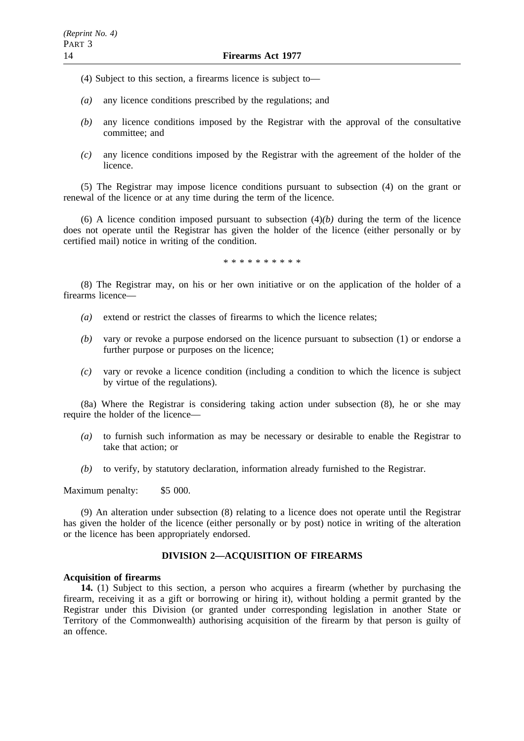- (4) Subject to this section, a firearms licence is subject to—
- *(a)* any licence conditions prescribed by the regulations; and
- *(b)* any licence conditions imposed by the Registrar with the approval of the consultative committee; and
- *(c)* any licence conditions imposed by the Registrar with the agreement of the holder of the licence.

(5) The Registrar may impose licence conditions pursuant to subsection (4) on the grant or renewal of the licence or at any time during the term of the licence.

(6) A licence condition imposed pursuant to subsection  $(4)(b)$  during the term of the licence does not operate until the Registrar has given the holder of the licence (either personally or by certified mail) notice in writing of the condition.

\*\*\*\*\*\*\*\*\*\*

(8) The Registrar may, on his or her own initiative or on the application of the holder of a firearms licence—

- *(a)* extend or restrict the classes of firearms to which the licence relates;
- *(b)* vary or revoke a purpose endorsed on the licence pursuant to subsection (1) or endorse a further purpose or purposes on the licence;
- *(c)* vary or revoke a licence condition (including a condition to which the licence is subject by virtue of the regulations).

(8a) Where the Registrar is considering taking action under subsection (8), he or she may require the holder of the licence—

- *(a)* to furnish such information as may be necessary or desirable to enable the Registrar to take that action; or
- *(b)* to verify, by statutory declaration, information already furnished to the Registrar.

Maximum penalty: \$5 000.

(9) An alteration under subsection (8) relating to a licence does not operate until the Registrar has given the holder of the licence (either personally or by post) notice in writing of the alteration or the licence has been appropriately endorsed.

# **DIVISION 2—ACQUISITION OF FIREARMS**

# **Acquisition of firearms**

**14.** (1) Subject to this section, a person who acquires a firearm (whether by purchasing the firearm, receiving it as a gift or borrowing or hiring it), without holding a permit granted by the Registrar under this Division (or granted under corresponding legislation in another State or Territory of the Commonwealth) authorising acquisition of the firearm by that person is guilty of an offence.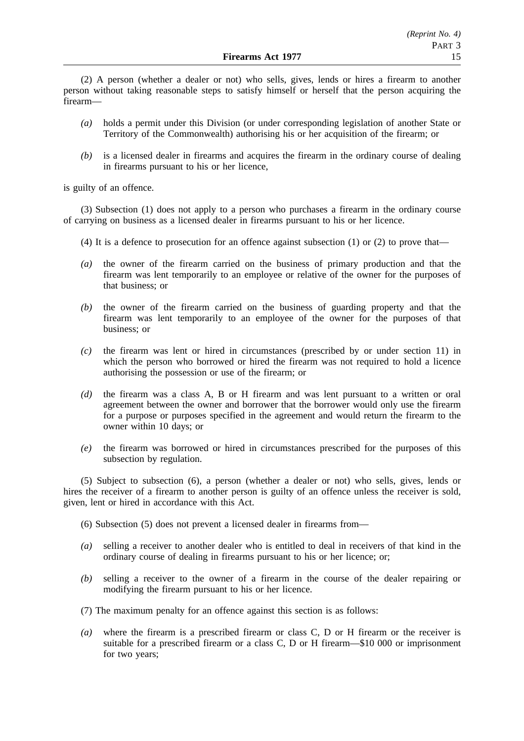(2) A person (whether a dealer or not) who sells, gives, lends or hires a firearm to another person without taking reasonable steps to satisfy himself or herself that the person acquiring the firearm—

- *(a)* holds a permit under this Division (or under corresponding legislation of another State or Territory of the Commonwealth) authorising his or her acquisition of the firearm; or
- *(b)* is a licensed dealer in firearms and acquires the firearm in the ordinary course of dealing in firearms pursuant to his or her licence,

is guilty of an offence.

(3) Subsection (1) does not apply to a person who purchases a firearm in the ordinary course of carrying on business as a licensed dealer in firearms pursuant to his or her licence.

- (4) It is a defence to prosecution for an offence against subsection  $(1)$  or  $(2)$  to prove that—
- *(a)* the owner of the firearm carried on the business of primary production and that the firearm was lent temporarily to an employee or relative of the owner for the purposes of that business; or
- *(b)* the owner of the firearm carried on the business of guarding property and that the firearm was lent temporarily to an employee of the owner for the purposes of that business; or
- *(c)* the firearm was lent or hired in circumstances (prescribed by or under section 11) in which the person who borrowed or hired the firearm was not required to hold a licence authorising the possession or use of the firearm; or
- *(d)* the firearm was a class A, B or H firearm and was lent pursuant to a written or oral agreement between the owner and borrower that the borrower would only use the firearm for a purpose or purposes specified in the agreement and would return the firearm to the owner within 10 days; or
- *(e)* the firearm was borrowed or hired in circumstances prescribed for the purposes of this subsection by regulation.

(5) Subject to subsection (6), a person (whether a dealer or not) who sells, gives, lends or hires the receiver of a firearm to another person is guilty of an offence unless the receiver is sold, given, lent or hired in accordance with this Act.

(6) Subsection (5) does not prevent a licensed dealer in firearms from—

- *(a)* selling a receiver to another dealer who is entitled to deal in receivers of that kind in the ordinary course of dealing in firearms pursuant to his or her licence; or;
- *(b)* selling a receiver to the owner of a firearm in the course of the dealer repairing or modifying the firearm pursuant to his or her licence.
- (7) The maximum penalty for an offence against this section is as follows:
- *(a)* where the firearm is a prescribed firearm or class C, D or H firearm or the receiver is suitable for a prescribed firearm or a class C, D or H firearm—\$10 000 or imprisonment for two years;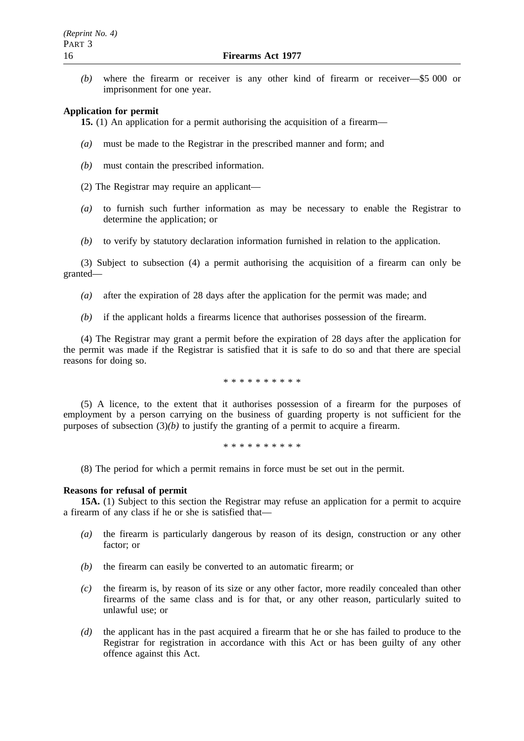*(b)* where the firearm or receiver is any other kind of firearm or receiver—\$5 000 or imprisonment for one year.

#### **Application for permit**

**15.** (1) An application for a permit authorising the acquisition of a firearm—

- *(a)* must be made to the Registrar in the prescribed manner and form; and
- *(b)* must contain the prescribed information.
- (2) The Registrar may require an applicant—
- *(a)* to furnish such further information as may be necessary to enable the Registrar to determine the application; or
- *(b)* to verify by statutory declaration information furnished in relation to the application.

(3) Subject to subsection (4) a permit authorising the acquisition of a firearm can only be granted—

- *(a)* after the expiration of 28 days after the application for the permit was made; and
- *(b)* if the applicant holds a firearms licence that authorises possession of the firearm.

(4) The Registrar may grant a permit before the expiration of 28 days after the application for the permit was made if the Registrar is satisfied that it is safe to do so and that there are special reasons for doing so.

\*\*\*\*\*\*\*\*\*\*

(5) A licence, to the extent that it authorises possession of a firearm for the purposes of employment by a person carrying on the business of guarding property is not sufficient for the purposes of subsection  $(3)(b)$  to justify the granting of a permit to acquire a firearm.

\*\*\*\*\*\*\*\*\*\*

(8) The period for which a permit remains in force must be set out in the permit.

#### **Reasons for refusal of permit**

**15A.** (1) Subject to this section the Registrar may refuse an application for a permit to acquire a firearm of any class if he or she is satisfied that—

- *(a)* the firearm is particularly dangerous by reason of its design, construction or any other factor; or
- *(b)* the firearm can easily be converted to an automatic firearm; or
- *(c)* the firearm is, by reason of its size or any other factor, more readily concealed than other firearms of the same class and is for that, or any other reason, particularly suited to unlawful use; or
- *(d)* the applicant has in the past acquired a firearm that he or she has failed to produce to the Registrar for registration in accordance with this Act or has been guilty of any other offence against this Act.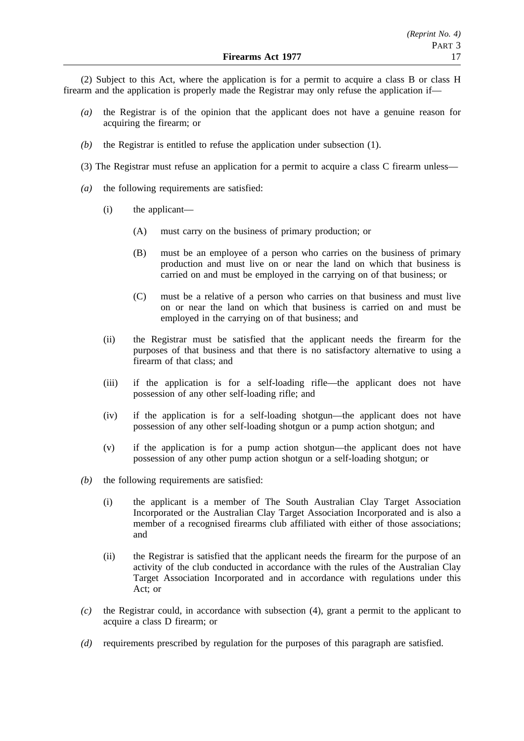(2) Subject to this Act, where the application is for a permit to acquire a class B or class H firearm and the application is properly made the Registrar may only refuse the application if—

- *(a)* the Registrar is of the opinion that the applicant does not have a genuine reason for acquiring the firearm; or
- *(b)* the Registrar is entitled to refuse the application under subsection (1).
- (3) The Registrar must refuse an application for a permit to acquire a class C firearm unless—
- *(a)* the following requirements are satisfied:
	- (i) the applicant—
		- (A) must carry on the business of primary production; or
		- (B) must be an employee of a person who carries on the business of primary production and must live on or near the land on which that business is carried on and must be employed in the carrying on of that business; or
		- (C) must be a relative of a person who carries on that business and must live on or near the land on which that business is carried on and must be employed in the carrying on of that business; and
	- (ii) the Registrar must be satisfied that the applicant needs the firearm for the purposes of that business and that there is no satisfactory alternative to using a firearm of that class; and
	- (iii) if the application is for a self-loading rifle—the applicant does not have possession of any other self-loading rifle; and
	- (iv) if the application is for a self-loading shotgun—the applicant does not have possession of any other self-loading shotgun or a pump action shotgun; and
	- (v) if the application is for a pump action shotgun—the applicant does not have possession of any other pump action shotgun or a self-loading shotgun; or
- *(b)* the following requirements are satisfied:
	- (i) the applicant is a member of The South Australian Clay Target Association Incorporated or the Australian Clay Target Association Incorporated and is also a member of a recognised firearms club affiliated with either of those associations; and
	- (ii) the Registrar is satisfied that the applicant needs the firearm for the purpose of an activity of the club conducted in accordance with the rules of the Australian Clay Target Association Incorporated and in accordance with regulations under this Act; or
- *(c)* the Registrar could, in accordance with subsection (4), grant a permit to the applicant to acquire a class D firearm; or
- *(d)* requirements prescribed by regulation for the purposes of this paragraph are satisfied.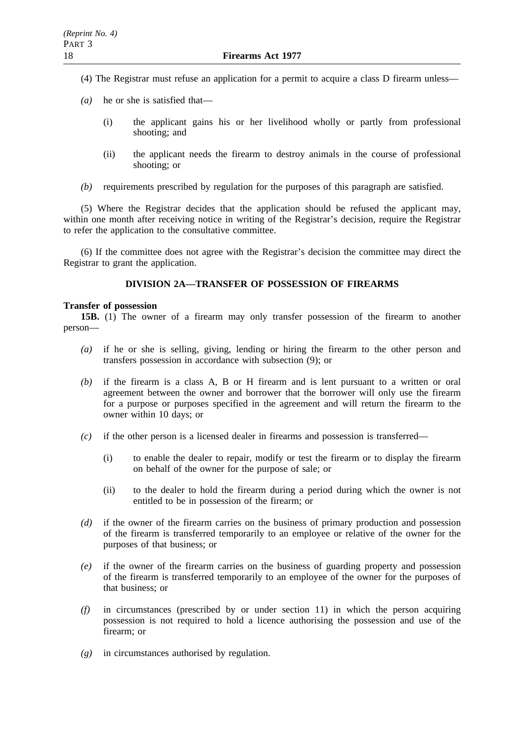- (4) The Registrar must refuse an application for a permit to acquire a class D firearm unless—
- *(a)* he or she is satisfied that—
	- (i) the applicant gains his or her livelihood wholly or partly from professional shooting; and
	- (ii) the applicant needs the firearm to destroy animals in the course of professional shooting; or
- *(b)* requirements prescribed by regulation for the purposes of this paragraph are satisfied.

(5) Where the Registrar decides that the application should be refused the applicant may, within one month after receiving notice in writing of the Registrar's decision, require the Registrar to refer the application to the consultative committee.

(6) If the committee does not agree with the Registrar's decision the committee may direct the Registrar to grant the application.

# **DIVISION 2A—TRANSFER OF POSSESSION OF FIREARMS**

## **Transfer of possession**

**15B.** (1) The owner of a firearm may only transfer possession of the firearm to another person—

- *(a)* if he or she is selling, giving, lending or hiring the firearm to the other person and transfers possession in accordance with subsection (9); or
- *(b)* if the firearm is a class A, B or H firearm and is lent pursuant to a written or oral agreement between the owner and borrower that the borrower will only use the firearm for a purpose or purposes specified in the agreement and will return the firearm to the owner within 10 days; or
- *(c)* if the other person is a licensed dealer in firearms and possession is transferred—
	- (i) to enable the dealer to repair, modify or test the firearm or to display the firearm on behalf of the owner for the purpose of sale; or
	- (ii) to the dealer to hold the firearm during a period during which the owner is not entitled to be in possession of the firearm; or
- *(d)* if the owner of the firearm carries on the business of primary production and possession of the firearm is transferred temporarily to an employee or relative of the owner for the purposes of that business; or
- *(e)* if the owner of the firearm carries on the business of guarding property and possession of the firearm is transferred temporarily to an employee of the owner for the purposes of that business; or
- *(f)* in circumstances (prescribed by or under section 11) in which the person acquiring possession is not required to hold a licence authorising the possession and use of the firearm; or
- *(g)* in circumstances authorised by regulation.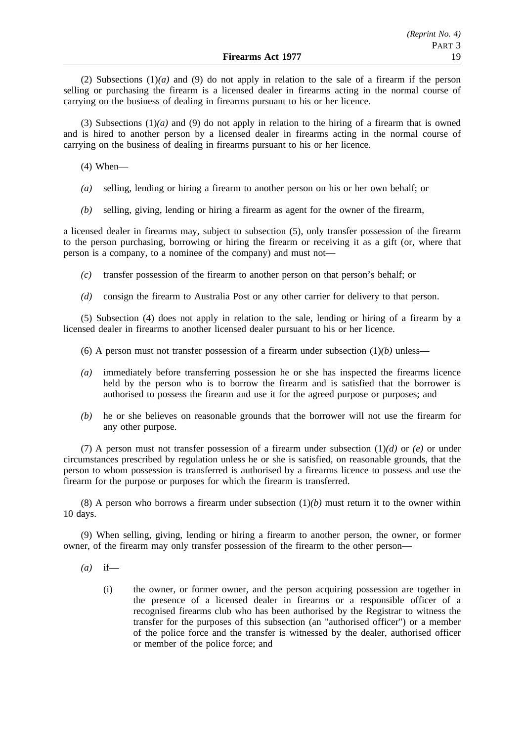(2) Subsections (1)*(a)* and (9) do not apply in relation to the sale of a firearm if the person selling or purchasing the firearm is a licensed dealer in firearms acting in the normal course of carrying on the business of dealing in firearms pursuant to his or her licence.

(3) Subsections (1)*(a)* and (9) do not apply in relation to the hiring of a firearm that is owned and is hired to another person by a licensed dealer in firearms acting in the normal course of carrying on the business of dealing in firearms pursuant to his or her licence.

(4) When—

- *(a)* selling, lending or hiring a firearm to another person on his or her own behalf; or
- *(b)* selling, giving, lending or hiring a firearm as agent for the owner of the firearm,

a licensed dealer in firearms may, subject to subsection (5), only transfer possession of the firearm to the person purchasing, borrowing or hiring the firearm or receiving it as a gift (or, where that person is a company, to a nominee of the company) and must not—

- *(c)* transfer possession of the firearm to another person on that person's behalf; or
- *(d)* consign the firearm to Australia Post or any other carrier for delivery to that person.

(5) Subsection (4) does not apply in relation to the sale, lending or hiring of a firearm by a licensed dealer in firearms to another licensed dealer pursuant to his or her licence.

- (6) A person must not transfer possession of a firearm under subsection  $(1)(b)$  unless—
- *(a)* immediately before transferring possession he or she has inspected the firearms licence held by the person who is to borrow the firearm and is satisfied that the borrower is authorised to possess the firearm and use it for the agreed purpose or purposes; and
- *(b)* he or she believes on reasonable grounds that the borrower will not use the firearm for any other purpose.

(7) A person must not transfer possession of a firearm under subsection (1)*(d)* or *(e)* or under circumstances prescribed by regulation unless he or she is satisfied, on reasonable grounds, that the person to whom possession is transferred is authorised by a firearms licence to possess and use the firearm for the purpose or purposes for which the firearm is transferred.

(8) A person who borrows a firearm under subsection  $(1)(b)$  must return it to the owner within 10 days.

(9) When selling, giving, lending or hiring a firearm to another person, the owner, or former owner, of the firearm may only transfer possession of the firearm to the other person—

- *(a)* if—
	- (i) the owner, or former owner, and the person acquiring possession are together in the presence of a licensed dealer in firearms or a responsible officer of a recognised firearms club who has been authorised by the Registrar to witness the transfer for the purposes of this subsection (an "authorised officer") or a member of the police force and the transfer is witnessed by the dealer, authorised officer or member of the police force; and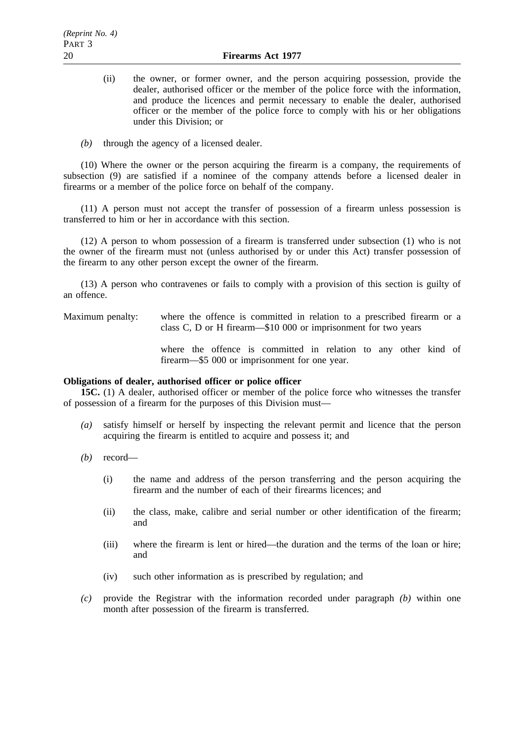- (ii) the owner, or former owner, and the person acquiring possession, provide the dealer, authorised officer or the member of the police force with the information, and produce the licences and permit necessary to enable the dealer, authorised officer or the member of the police force to comply with his or her obligations under this Division; or
- *(b)* through the agency of a licensed dealer.

(10) Where the owner or the person acquiring the firearm is a company, the requirements of subsection (9) are satisfied if a nominee of the company attends before a licensed dealer in firearms or a member of the police force on behalf of the company.

(11) A person must not accept the transfer of possession of a firearm unless possession is transferred to him or her in accordance with this section.

(12) A person to whom possession of a firearm is transferred under subsection (1) who is not the owner of the firearm must not (unless authorised by or under this Act) transfer possession of the firearm to any other person except the owner of the firearm.

(13) A person who contravenes or fails to comply with a provision of this section is guilty of an offence.

Maximum penalty: where the offence is committed in relation to a prescribed firearm or a class C, D or H firearm—\$10 000 or imprisonment for two years

> where the offence is committed in relation to any other kind of firearm—\$5 000 or imprisonment for one year.

# **Obligations of dealer, authorised officer or police officer**

**15C.** (1) A dealer, authorised officer or member of the police force who witnesses the transfer of possession of a firearm for the purposes of this Division must—

- *(a)* satisfy himself or herself by inspecting the relevant permit and licence that the person acquiring the firearm is entitled to acquire and possess it; and
- *(b)* record—
	- (i) the name and address of the person transferring and the person acquiring the firearm and the number of each of their firearms licences; and
	- (ii) the class, make, calibre and serial number or other identification of the firearm; and
	- (iii) where the firearm is lent or hired—the duration and the terms of the loan or hire; and
	- (iv) such other information as is prescribed by regulation; and
- *(c)* provide the Registrar with the information recorded under paragraph *(b)* within one month after possession of the firearm is transferred.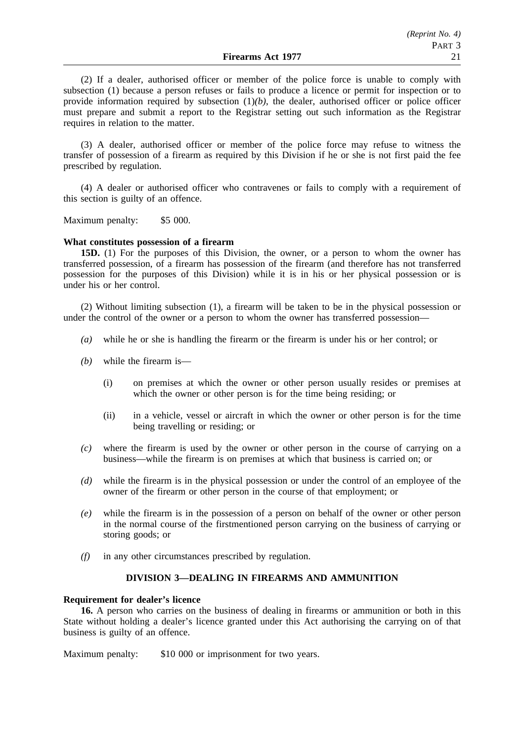(2) If a dealer, authorised officer or member of the police force is unable to comply with subsection (1) because a person refuses or fails to produce a licence or permit for inspection or to provide information required by subsection  $(1)(b)$ , the dealer, authorised officer or police officer must prepare and submit a report to the Registrar setting out such information as the Registrar requires in relation to the matter.

(3) A dealer, authorised officer or member of the police force may refuse to witness the transfer of possession of a firearm as required by this Division if he or she is not first paid the fee prescribed by regulation.

(4) A dealer or authorised officer who contravenes or fails to comply with a requirement of this section is guilty of an offence.

Maximum penalty: \$5 000.

#### **What constitutes possession of a firearm**

**15D.** (1) For the purposes of this Division, the owner, or a person to whom the owner has transferred possession, of a firearm has possession of the firearm (and therefore has not transferred possession for the purposes of this Division) while it is in his or her physical possession or is under his or her control.

(2) Without limiting subsection (1), a firearm will be taken to be in the physical possession or under the control of the owner or a person to whom the owner has transferred possession—

- *(a)* while he or she is handling the firearm or the firearm is under his or her control; or
- *(b)* while the firearm is—
	- (i) on premises at which the owner or other person usually resides or premises at which the owner or other person is for the time being residing; or
	- (ii) in a vehicle, vessel or aircraft in which the owner or other person is for the time being travelling or residing; or
- *(c)* where the firearm is used by the owner or other person in the course of carrying on a business—while the firearm is on premises at which that business is carried on; or
- *(d)* while the firearm is in the physical possession or under the control of an employee of the owner of the firearm or other person in the course of that employment; or
- *(e)* while the firearm is in the possession of a person on behalf of the owner or other person in the normal course of the firstmentioned person carrying on the business of carrying or storing goods; or
- *(f)* in any other circumstances prescribed by regulation.

# **DIVISION 3—DEALING IN FIREARMS AND AMMUNITION**

#### **Requirement for dealer's licence**

**16.** A person who carries on the business of dealing in firearms or ammunition or both in this State without holding a dealer's licence granted under this Act authorising the carrying on of that business is guilty of an offence.

Maximum penalty: \$10 000 or imprisonment for two years.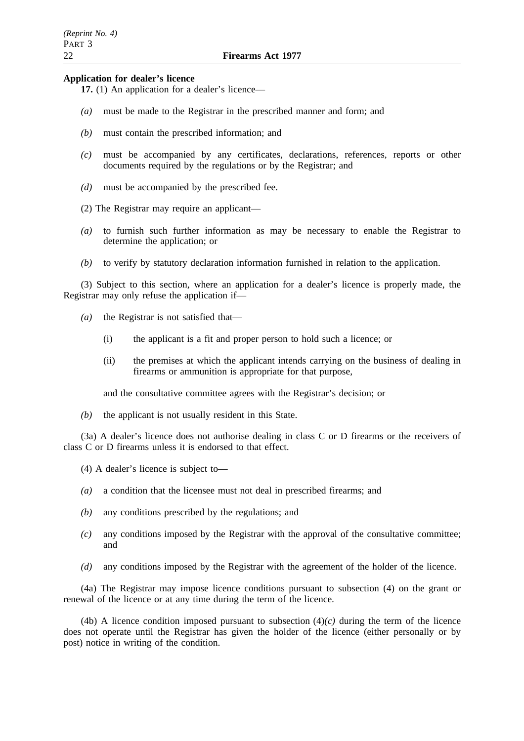#### **Application for dealer's licence**

- **17.** (1) An application for a dealer's licence—
- *(a)* must be made to the Registrar in the prescribed manner and form; and
- *(b)* must contain the prescribed information; and
- *(c)* must be accompanied by any certificates, declarations, references, reports or other documents required by the regulations or by the Registrar; and
- *(d)* must be accompanied by the prescribed fee.
- (2) The Registrar may require an applicant—
- *(a)* to furnish such further information as may be necessary to enable the Registrar to determine the application; or
- *(b)* to verify by statutory declaration information furnished in relation to the application.

(3) Subject to this section, where an application for a dealer's licence is properly made, the Registrar may only refuse the application if—

- *(a)* the Registrar is not satisfied that—
	- (i) the applicant is a fit and proper person to hold such a licence; or
	- (ii) the premises at which the applicant intends carrying on the business of dealing in firearms or ammunition is appropriate for that purpose,

and the consultative committee agrees with the Registrar's decision; or

*(b)* the applicant is not usually resident in this State.

(3a) A dealer's licence does not authorise dealing in class C or D firearms or the receivers of class C or D firearms unless it is endorsed to that effect.

(4) A dealer's licence is subject to—

- *(a)* a condition that the licensee must not deal in prescribed firearms; and
- *(b)* any conditions prescribed by the regulations; and
- *(c)* any conditions imposed by the Registrar with the approval of the consultative committee; and
- *(d)* any conditions imposed by the Registrar with the agreement of the holder of the licence.

(4a) The Registrar may impose licence conditions pursuant to subsection (4) on the grant or renewal of the licence or at any time during the term of the licence.

(4b) A licence condition imposed pursuant to subsection  $(4)(c)$  during the term of the licence does not operate until the Registrar has given the holder of the licence (either personally or by post) notice in writing of the condition.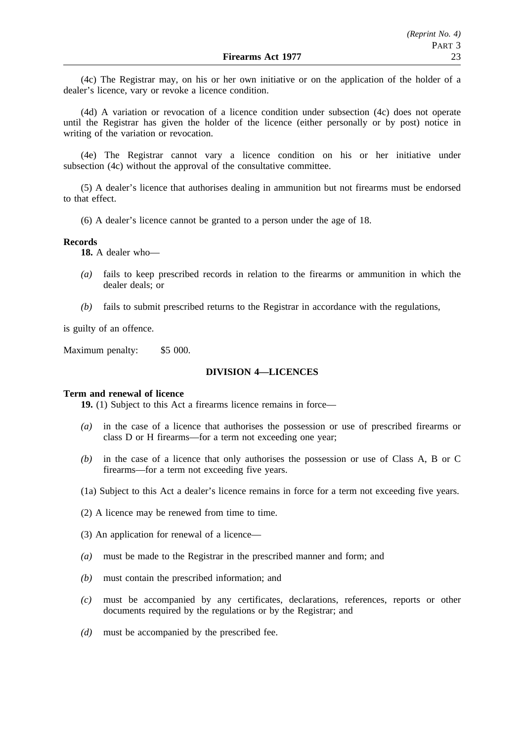(4c) The Registrar may, on his or her own initiative or on the application of the holder of a dealer's licence, vary or revoke a licence condition.

(4d) A variation or revocation of a licence condition under subsection (4c) does not operate until the Registrar has given the holder of the licence (either personally or by post) notice in writing of the variation or revocation.

(4e) The Registrar cannot vary a licence condition on his or her initiative under subsection (4c) without the approval of the consultative committee.

(5) A dealer's licence that authorises dealing in ammunition but not firearms must be endorsed to that effect.

(6) A dealer's licence cannot be granted to a person under the age of 18.

#### **Records**

**18.** A dealer who—

- *(a)* fails to keep prescribed records in relation to the firearms or ammunition in which the dealer deals; or
- *(b)* fails to submit prescribed returns to the Registrar in accordance with the regulations,

is guilty of an offence.

Maximum penalty: \$5 000.

## **DIVISION 4—LICENCES**

## **Term and renewal of licence**

**19.** (1) Subject to this Act a firearms licence remains in force—

- *(a)* in the case of a licence that authorises the possession or use of prescribed firearms or class D or H firearms—for a term not exceeding one year;
- *(b)* in the case of a licence that only authorises the possession or use of Class A, B or C firearms—for a term not exceeding five years.
- (1a) Subject to this Act a dealer's licence remains in force for a term not exceeding five years.
- (2) A licence may be renewed from time to time.
- (3) An application for renewal of a licence—
- *(a)* must be made to the Registrar in the prescribed manner and form; and
- *(b)* must contain the prescribed information; and
- *(c)* must be accompanied by any certificates, declarations, references, reports or other documents required by the regulations or by the Registrar; and
- *(d)* must be accompanied by the prescribed fee.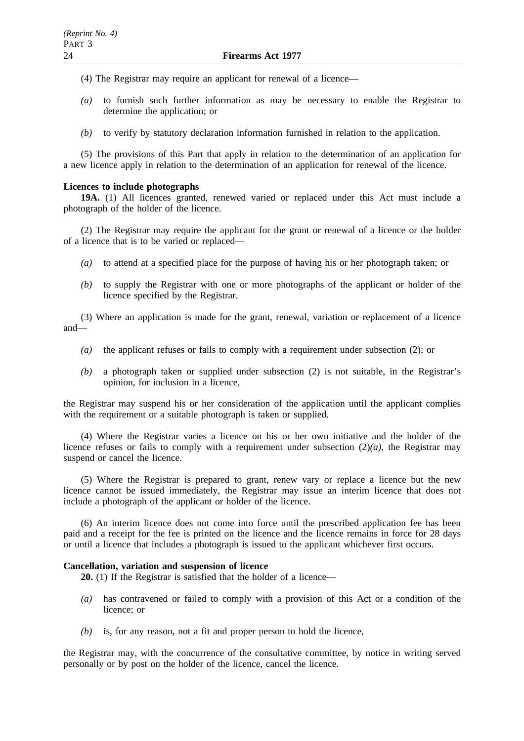- (4) The Registrar may require an applicant for renewal of a licence—
- *(a)* to furnish such further information as may be necessary to enable the Registrar to determine the application; or
- *(b)* to verify by statutory declaration information furnished in relation to the application.

(5) The provisions of this Part that apply in relation to the determination of an application for a new licence apply in relation to the determination of an application for renewal of the licence.

# **Licences to include photographs**

**19A.** (1) All licences granted, renewed varied or replaced under this Act must include a photograph of the holder of the licence.

(2) The Registrar may require the applicant for the grant or renewal of a licence or the holder of a licence that is to be varied or replaced—

- *(a)* to attend at a specified place for the purpose of having his or her photograph taken; or
- *(b)* to supply the Registrar with one or more photographs of the applicant or holder of the licence specified by the Registrar.

(3) Where an application is made for the grant, renewal, variation or replacement of a licence and—

- *(a)* the applicant refuses or fails to comply with a requirement under subsection (2); or
- *(b)* a photograph taken or supplied under subsection (2) is not suitable, in the Registrar's opinion, for inclusion in a licence,

the Registrar may suspend his or her consideration of the application until the applicant complies with the requirement or a suitable photograph is taken or supplied.

(4) Where the Registrar varies a licence on his or her own initiative and the holder of the licence refuses or fails to comply with a requirement under subsection  $(2)(a)$ , the Registrar may suspend or cancel the licence.

(5) Where the Registrar is prepared to grant, renew vary or replace a licence but the new licence cannot be issued immediately, the Registrar may issue an interim licence that does not include a photograph of the applicant or holder of the licence.

(6) An interim licence does not come into force until the prescribed application fee has been paid and a receipt for the fee is printed on the licence and the licence remains in force for 28 days or until a licence that includes a photograph is issued to the applicant whichever first occurs.

# **Cancellation, variation and suspension of licence**

**20.** (1) If the Registrar is satisfied that the holder of a licence—

- *(a)* has contravened or failed to comply with a provision of this Act or a condition of the licence; or
- *(b)* is, for any reason, not a fit and proper person to hold the licence,

the Registrar may, with the concurrence of the consultative committee, by notice in writing served personally or by post on the holder of the licence, cancel the licence.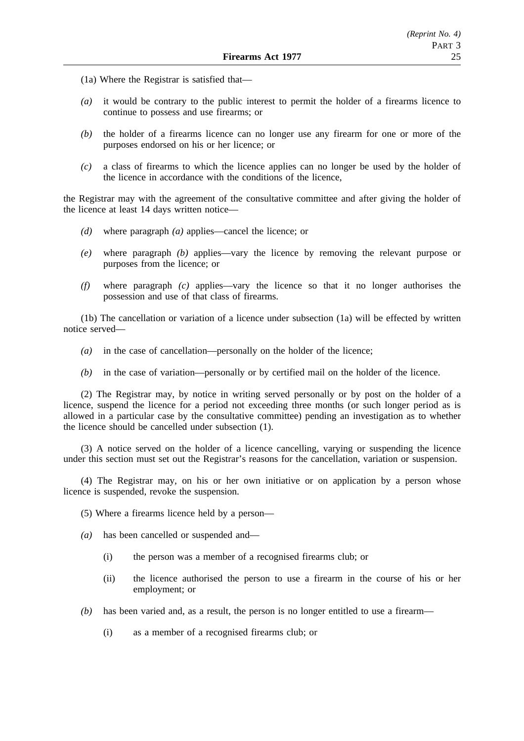- (1a) Where the Registrar is satisfied that—
- *(a)* it would be contrary to the public interest to permit the holder of a firearms licence to continue to possess and use firearms; or
- *(b)* the holder of a firearms licence can no longer use any firearm for one or more of the purposes endorsed on his or her licence; or
- *(c)* a class of firearms to which the licence applies can no longer be used by the holder of the licence in accordance with the conditions of the licence,

the Registrar may with the agreement of the consultative committee and after giving the holder of the licence at least 14 days written notice—

- *(d)* where paragraph *(a)* applies—cancel the licence; or
- *(e)* where paragraph *(b)* applies—vary the licence by removing the relevant purpose or purposes from the licence; or
- *(f)* where paragraph *(c)* applies—vary the licence so that it no longer authorises the possession and use of that class of firearms.

(1b) The cancellation or variation of a licence under subsection (1a) will be effected by written notice served—

- *(a)* in the case of cancellation—personally on the holder of the licence;
- *(b)* in the case of variation—personally or by certified mail on the holder of the licence.

(2) The Registrar may, by notice in writing served personally or by post on the holder of a licence, suspend the licence for a period not exceeding three months (or such longer period as is allowed in a particular case by the consultative committee) pending an investigation as to whether the licence should be cancelled under subsection (1).

(3) A notice served on the holder of a licence cancelling, varying or suspending the licence under this section must set out the Registrar's reasons for the cancellation, variation or suspension.

(4) The Registrar may, on his or her own initiative or on application by a person whose licence is suspended, revoke the suspension.

- (5) Where a firearms licence held by a person—
- *(a)* has been cancelled or suspended and—
	- (i) the person was a member of a recognised firearms club; or
	- (ii) the licence authorised the person to use a firearm in the course of his or her employment; or
- *(b)* has been varied and, as a result, the person is no longer entitled to use a firearm—
	- (i) as a member of a recognised firearms club; or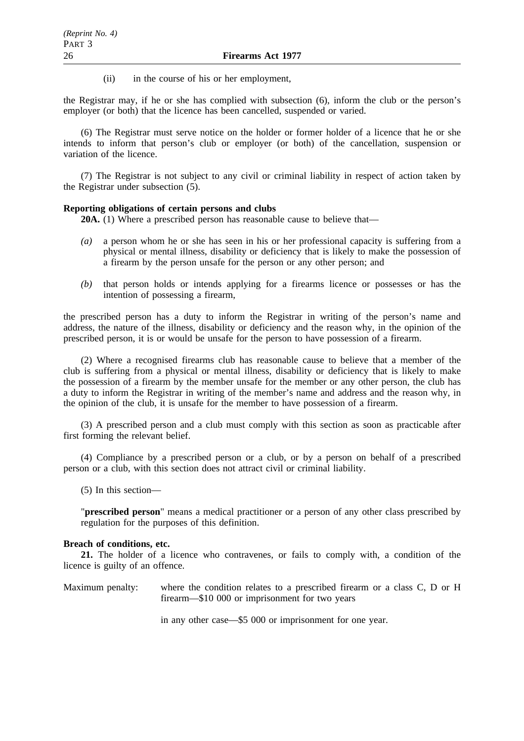(ii) in the course of his or her employment,

the Registrar may, if he or she has complied with subsection (6), inform the club or the person's employer (or both) that the licence has been cancelled, suspended or varied.

(6) The Registrar must serve notice on the holder or former holder of a licence that he or she intends to inform that person's club or employer (or both) of the cancellation, suspension or variation of the licence.

(7) The Registrar is not subject to any civil or criminal liability in respect of action taken by the Registrar under subsection (5).

#### **Reporting obligations of certain persons and clubs**

**20A.** (1) Where a prescribed person has reasonable cause to believe that—

- *(a)* a person whom he or she has seen in his or her professional capacity is suffering from a physical or mental illness, disability or deficiency that is likely to make the possession of a firearm by the person unsafe for the person or any other person; and
- *(b)* that person holds or intends applying for a firearms licence or possesses or has the intention of possessing a firearm,

the prescribed person has a duty to inform the Registrar in writing of the person's name and address, the nature of the illness, disability or deficiency and the reason why, in the opinion of the prescribed person, it is or would be unsafe for the person to have possession of a firearm.

(2) Where a recognised firearms club has reasonable cause to believe that a member of the club is suffering from a physical or mental illness, disability or deficiency that is likely to make the possession of a firearm by the member unsafe for the member or any other person, the club has a duty to inform the Registrar in writing of the member's name and address and the reason why, in the opinion of the club, it is unsafe for the member to have possession of a firearm.

(3) A prescribed person and a club must comply with this section as soon as practicable after first forming the relevant belief.

(4) Compliance by a prescribed person or a club, or by a person on behalf of a prescribed person or a club, with this section does not attract civil or criminal liability.

(5) In this section—

"**prescribed person**" means a medical practitioner or a person of any other class prescribed by regulation for the purposes of this definition.

# **Breach of conditions, etc.**

**21.** The holder of a licence who contravenes, or fails to comply with, a condition of the licence is guilty of an offence.

Maximum penalty: where the condition relates to a prescribed firearm or a class C, D or H firearm—\$10 000 or imprisonment for two years

in any other case—\$5 000 or imprisonment for one year.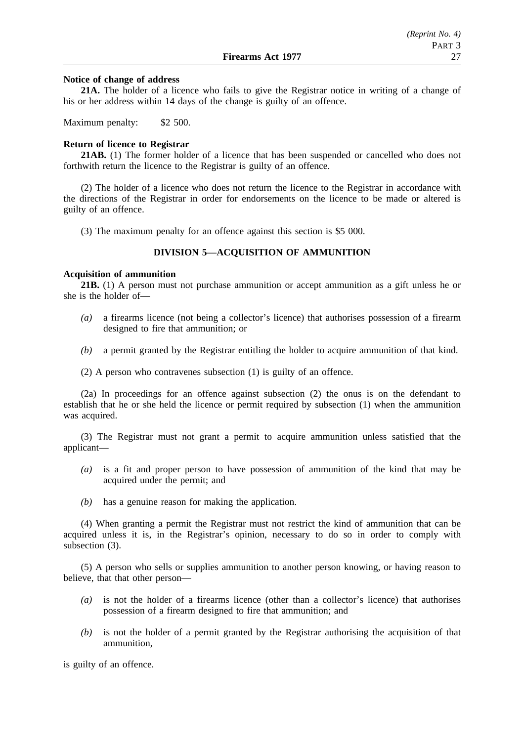#### **Notice of change of address**

**21A.** The holder of a licence who fails to give the Registrar notice in writing of a change of his or her address within 14 days of the change is guilty of an offence.

Maximum penalty: \$2 500.

#### **Return of licence to Registrar**

**21AB.** (1) The former holder of a licence that has been suspended or cancelled who does not forthwith return the licence to the Registrar is guilty of an offence.

(2) The holder of a licence who does not return the licence to the Registrar in accordance with the directions of the Registrar in order for endorsements on the licence to be made or altered is guilty of an offence.

(3) The maximum penalty for an offence against this section is \$5 000.

## **DIVISION 5—ACQUISITION OF AMMUNITION**

#### **Acquisition of ammunition**

**21B.** (1) A person must not purchase ammunition or accept ammunition as a gift unless he or she is the holder of—

- *(a)* a firearms licence (not being a collector's licence) that authorises possession of a firearm designed to fire that ammunition; or
- *(b)* a permit granted by the Registrar entitling the holder to acquire ammunition of that kind.
- (2) A person who contravenes subsection (1) is guilty of an offence.

(2a) In proceedings for an offence against subsection (2) the onus is on the defendant to establish that he or she held the licence or permit required by subsection (1) when the ammunition was acquired.

(3) The Registrar must not grant a permit to acquire ammunition unless satisfied that the applicant—

- *(a)* is a fit and proper person to have possession of ammunition of the kind that may be acquired under the permit; and
- *(b)* has a genuine reason for making the application.

(4) When granting a permit the Registrar must not restrict the kind of ammunition that can be acquired unless it is, in the Registrar's opinion, necessary to do so in order to comply with subsection (3).

(5) A person who sells or supplies ammunition to another person knowing, or having reason to believe, that that other person—

- *(a)* is not the holder of a firearms licence (other than a collector's licence) that authorises possession of a firearm designed to fire that ammunition; and
- *(b)* is not the holder of a permit granted by the Registrar authorising the acquisition of that ammunition,

is guilty of an offence.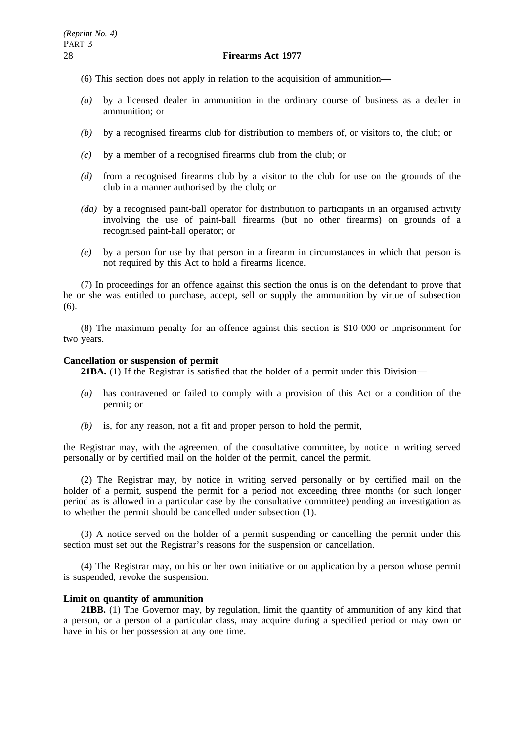- (6) This section does not apply in relation to the acquisition of ammunition—
- *(a)* by a licensed dealer in ammunition in the ordinary course of business as a dealer in ammunition; or
- *(b)* by a recognised firearms club for distribution to members of, or visitors to, the club; or
- *(c)* by a member of a recognised firearms club from the club; or
- *(d)* from a recognised firearms club by a visitor to the club for use on the grounds of the club in a manner authorised by the club; or
- *(da)* by a recognised paint-ball operator for distribution to participants in an organised activity involving the use of paint-ball firearms (but no other firearms) on grounds of a recognised paint-ball operator; or
- *(e)* by a person for use by that person in a firearm in circumstances in which that person is not required by this Act to hold a firearms licence.

(7) In proceedings for an offence against this section the onus is on the defendant to prove that he or she was entitled to purchase, accept, sell or supply the ammunition by virtue of subsection (6).

(8) The maximum penalty for an offence against this section is \$10 000 or imprisonment for two years.

#### **Cancellation or suspension of permit**

**21BA.** (1) If the Registrar is satisfied that the holder of a permit under this Division—

- *(a)* has contravened or failed to comply with a provision of this Act or a condition of the permit; or
- *(b)* is, for any reason, not a fit and proper person to hold the permit,

the Registrar may, with the agreement of the consultative committee, by notice in writing served personally or by certified mail on the holder of the permit, cancel the permit.

(2) The Registrar may, by notice in writing served personally or by certified mail on the holder of a permit, suspend the permit for a period not exceeding three months (or such longer period as is allowed in a particular case by the consultative committee) pending an investigation as to whether the permit should be cancelled under subsection (1).

(3) A notice served on the holder of a permit suspending or cancelling the permit under this section must set out the Registrar's reasons for the suspension or cancellation.

(4) The Registrar may, on his or her own initiative or on application by a person whose permit is suspended, revoke the suspension.

#### **Limit on quantity of ammunition**

**21BB.** (1) The Governor may, by regulation, limit the quantity of ammunition of any kind that a person, or a person of a particular class, may acquire during a specified period or may own or have in his or her possession at any one time.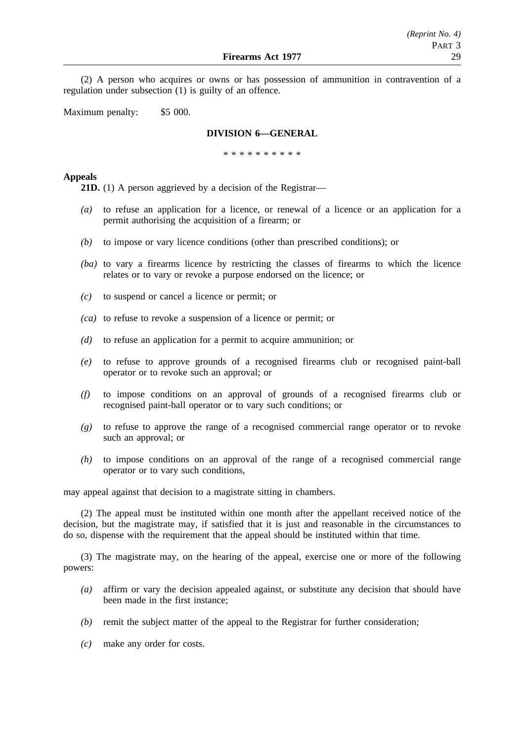(2) A person who acquires or owns or has possession of ammunition in contravention of a regulation under subsection (1) is guilty of an offence.

Maximum penalty: \$5 000.

# **DIVISION 6—GENERAL**

\*\*\*\*\*\*\*\*\*\*

# **Appeals**

**21D.** (1) A person aggrieved by a decision of the Registrar—

- *(a)* to refuse an application for a licence, or renewal of a licence or an application for a permit authorising the acquisition of a firearm; or
- *(b)* to impose or vary licence conditions (other than prescribed conditions); or
- *(ba)* to vary a firearms licence by restricting the classes of firearms to which the licence relates or to vary or revoke a purpose endorsed on the licence; or
- *(c)* to suspend or cancel a licence or permit; or
- *(ca)* to refuse to revoke a suspension of a licence or permit; or
- *(d)* to refuse an application for a permit to acquire ammunition; or
- *(e)* to refuse to approve grounds of a recognised firearms club or recognised paint-ball operator or to revoke such an approval; or
- *(f)* to impose conditions on an approval of grounds of a recognised firearms club or recognised paint-ball operator or to vary such conditions; or
- *(g)* to refuse to approve the range of a recognised commercial range operator or to revoke such an approval; or
- *(h)* to impose conditions on an approval of the range of a recognised commercial range operator or to vary such conditions,

may appeal against that decision to a magistrate sitting in chambers.

(2) The appeal must be instituted within one month after the appellant received notice of the decision, but the magistrate may, if satisfied that it is just and reasonable in the circumstances to do so, dispense with the requirement that the appeal should be instituted within that time.

(3) The magistrate may, on the hearing of the appeal, exercise one or more of the following powers:

- *(a)* affirm or vary the decision appealed against, or substitute any decision that should have been made in the first instance;
- *(b)* remit the subject matter of the appeal to the Registrar for further consideration;
- *(c)* make any order for costs.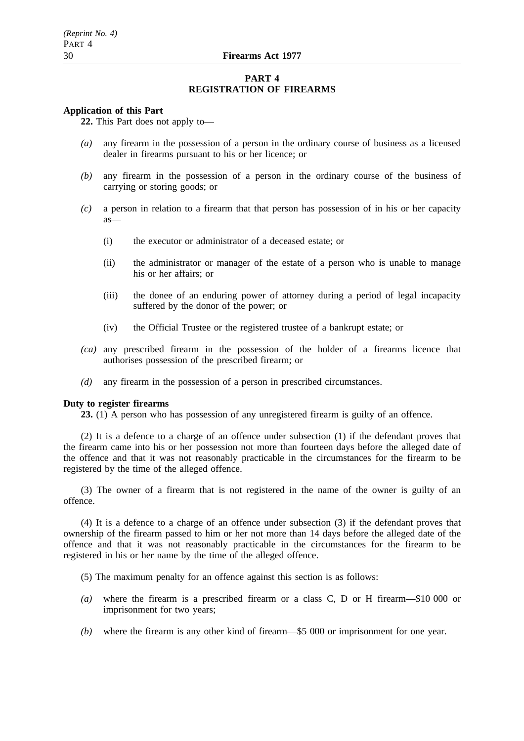## **PART 4 REGISTRATION OF FIREARMS**

#### **Application of this Part**

**22.** This Part does not apply to—

- *(a)* any firearm in the possession of a person in the ordinary course of business as a licensed dealer in firearms pursuant to his or her licence; or
- *(b)* any firearm in the possession of a person in the ordinary course of the business of carrying or storing goods; or
- *(c)* a person in relation to a firearm that that person has possession of in his or her capacity as—
	- (i) the executor or administrator of a deceased estate; or
	- (ii) the administrator or manager of the estate of a person who is unable to manage his or her affairs; or
	- (iii) the donee of an enduring power of attorney during a period of legal incapacity suffered by the donor of the power; or
	- (iv) the Official Trustee or the registered trustee of a bankrupt estate; or
- *(ca)* any prescribed firearm in the possession of the holder of a firearms licence that authorises possession of the prescribed firearm; or
- *(d)* any firearm in the possession of a person in prescribed circumstances.

## **Duty to register firearms**

**23.** (1) A person who has possession of any unregistered firearm is guilty of an offence.

(2) It is a defence to a charge of an offence under subsection (1) if the defendant proves that the firearm came into his or her possession not more than fourteen days before the alleged date of the offence and that it was not reasonably practicable in the circumstances for the firearm to be registered by the time of the alleged offence.

(3) The owner of a firearm that is not registered in the name of the owner is guilty of an offence.

(4) It is a defence to a charge of an offence under subsection (3) if the defendant proves that ownership of the firearm passed to him or her not more than 14 days before the alleged date of the offence and that it was not reasonably practicable in the circumstances for the firearm to be registered in his or her name by the time of the alleged offence.

- (5) The maximum penalty for an offence against this section is as follows:
- *(a)* where the firearm is a prescribed firearm or a class C, D or H firearm—\$10 000 or imprisonment for two years;
- *(b)* where the firearm is any other kind of firearm—\$5 000 or imprisonment for one year.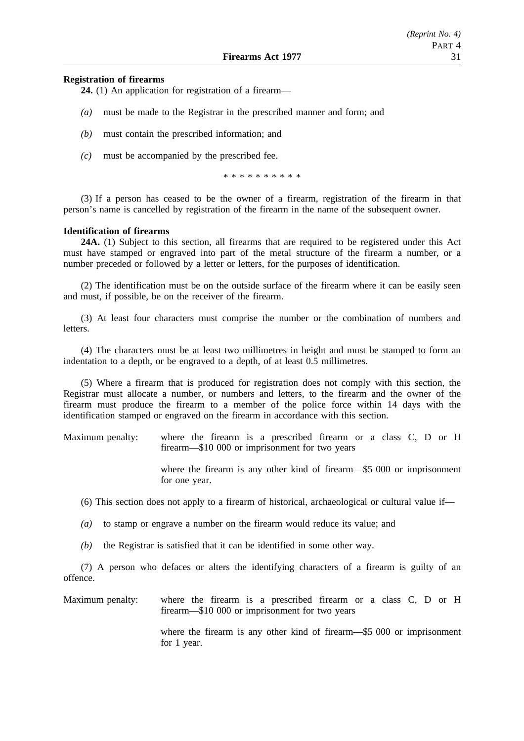# *(Reprint No. 4)* PART 4

# **Registration of firearms**

**24.** (1) An application for registration of a firearm—

- *(a)* must be made to the Registrar in the prescribed manner and form; and
- *(b)* must contain the prescribed information; and
- *(c)* must be accompanied by the prescribed fee.

\*\*\*\*\*\*\*\*\*\*

(3) If a person has ceased to be the owner of a firearm, registration of the firearm in that person's name is cancelled by registration of the firearm in the name of the subsequent owner.

# **Identification of firearms**

**24A.** (1) Subject to this section, all firearms that are required to be registered under this Act must have stamped or engraved into part of the metal structure of the firearm a number, or a number preceded or followed by a letter or letters, for the purposes of identification.

(2) The identification must be on the outside surface of the firearm where it can be easily seen and must, if possible, be on the receiver of the firearm.

(3) At least four characters must comprise the number or the combination of numbers and letters.

(4) The characters must be at least two millimetres in height and must be stamped to form an indentation to a depth, or be engraved to a depth, of at least 0.5 millimetres.

(5) Where a firearm that is produced for registration does not comply with this section, the Registrar must allocate a number, or numbers and letters, to the firearm and the owner of the firearm must produce the firearm to a member of the police force within 14 days with the identification stamped or engraved on the firearm in accordance with this section.

Maximum penalty: where the firearm is a prescribed firearm or a class C, D or H firearm—\$10 000 or imprisonment for two years

> where the firearm is any other kind of firearm—\$5 000 or imprisonment for one year.

(6) This section does not apply to a firearm of historical, archaeological or cultural value if—

*(a)* to stamp or engrave a number on the firearm would reduce its value; and

*(b)* the Registrar is satisfied that it can be identified in some other way.

(7) A person who defaces or alters the identifying characters of a firearm is guilty of an offence.

Maximum penalty: where the firearm is a prescribed firearm or a class C, D or H firearm—\$10 000 or imprisonment for two years

> where the firearm is any other kind of firearm—\$5 000 or imprisonment for 1 year.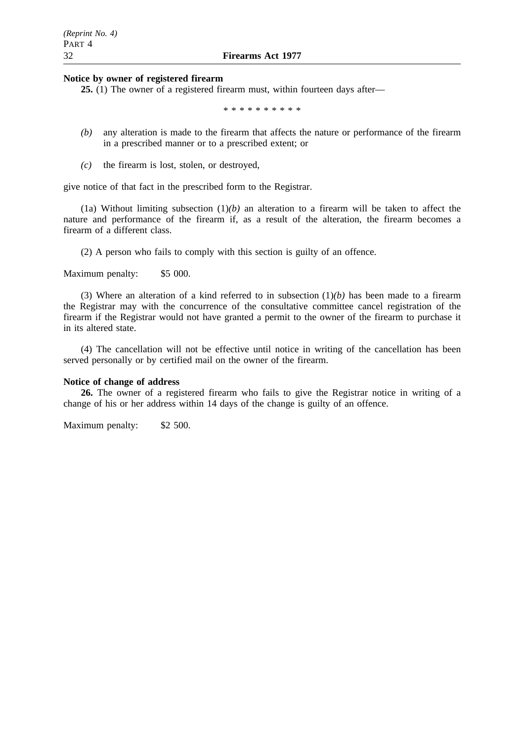#### **Notice by owner of registered firearm**

**25.** (1) The owner of a registered firearm must, within fourteen days after—

\*\*\*\*\*\*\*\*\*\*

- *(b)* any alteration is made to the firearm that affects the nature or performance of the firearm in a prescribed manner or to a prescribed extent; or
- *(c)* the firearm is lost, stolen, or destroyed,

give notice of that fact in the prescribed form to the Registrar.

(1a) Without limiting subsection  $(1)(b)$  an alteration to a firearm will be taken to affect the nature and performance of the firearm if, as a result of the alteration, the firearm becomes a firearm of a different class.

(2) A person who fails to comply with this section is guilty of an offence.

Maximum penalty: \$5 000.

(3) Where an alteration of a kind referred to in subsection (1)*(b)* has been made to a firearm the Registrar may with the concurrence of the consultative committee cancel registration of the firearm if the Registrar would not have granted a permit to the owner of the firearm to purchase it in its altered state.

(4) The cancellation will not be effective until notice in writing of the cancellation has been served personally or by certified mail on the owner of the firearm.

#### **Notice of change of address**

**26.** The owner of a registered firearm who fails to give the Registrar notice in writing of a change of his or her address within 14 days of the change is guilty of an offence.

Maximum penalty: \$2 500.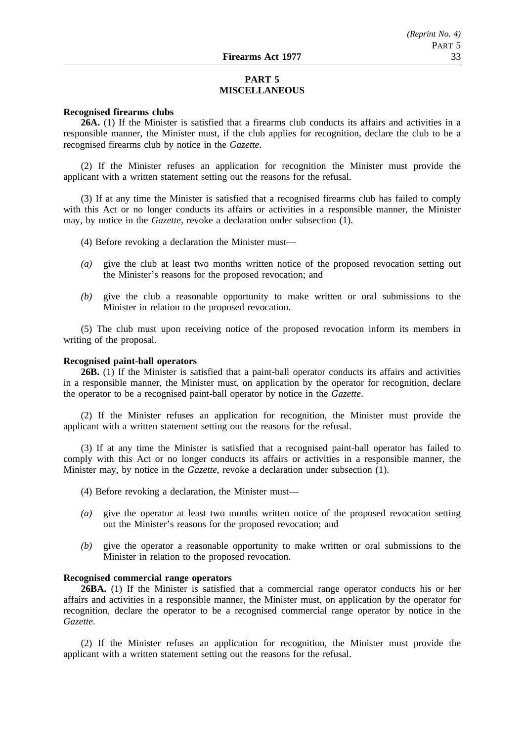# **PART 5 MISCELLANEOUS**

#### **Recognised firearms clubs**

**26A.** (1) If the Minister is satisfied that a firearms club conducts its affairs and activities in a responsible manner, the Minister must, if the club applies for recognition, declare the club to be a recognised firearms club by notice in the *Gazette*.

(2) If the Minister refuses an application for recognition the Minister must provide the applicant with a written statement setting out the reasons for the refusal.

(3) If at any time the Minister is satisfied that a recognised firearms club has failed to comply with this Act or no longer conducts its affairs or activities in a responsible manner, the Minister may, by notice in the *Gazette*, revoke a declaration under subsection (1).

- (4) Before revoking a declaration the Minister must—
- *(a)* give the club at least two months written notice of the proposed revocation setting out the Minister's reasons for the proposed revocation; and
- *(b)* give the club a reasonable opportunity to make written or oral submissions to the Minister in relation to the proposed revocation.

(5) The club must upon receiving notice of the proposed revocation inform its members in writing of the proposal.

## **Recognised paint-ball operators**

**26B.** (1) If the Minister is satisfied that a paint-ball operator conducts its affairs and activities in a responsible manner, the Minister must, on application by the operator for recognition, declare the operator to be a recognised paint-ball operator by notice in the *Gazette*.

(2) If the Minister refuses an application for recognition, the Minister must provide the applicant with a written statement setting out the reasons for the refusal.

(3) If at any time the Minister is satisfied that a recognised paint-ball operator has failed to comply with this Act or no longer conducts its affairs or activities in a responsible manner, the Minister may, by notice in the *Gazette*, revoke a declaration under subsection (1).

- (4) Before revoking a declaration, the Minister must—
- *(a)* give the operator at least two months written notice of the proposed revocation setting out the Minister's reasons for the proposed revocation; and
- *(b)* give the operator a reasonable opportunity to make written or oral submissions to the Minister in relation to the proposed revocation.

## **Recognised commercial range operators**

**26BA.** (1) If the Minister is satisfied that a commercial range operator conducts his or her affairs and activities in a responsible manner, the Minister must, on application by the operator for recognition, declare the operator to be a recognised commercial range operator by notice in the *Gazette*.

(2) If the Minister refuses an application for recognition, the Minister must provide the applicant with a written statement setting out the reasons for the refusal.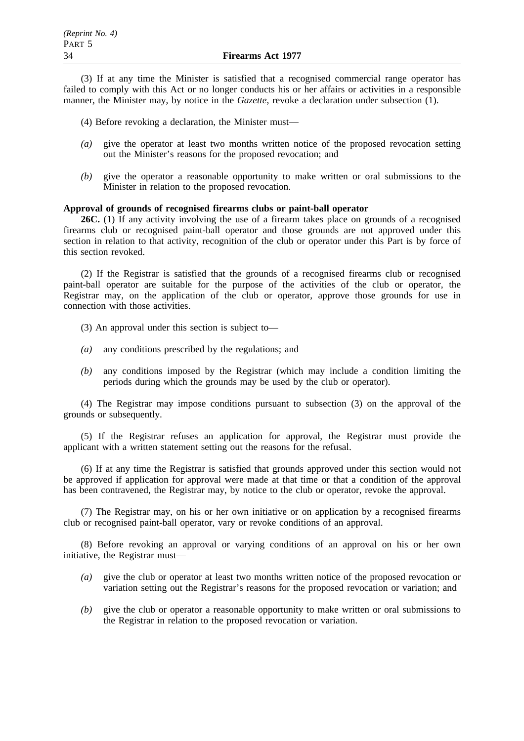(3) If at any time the Minister is satisfied that a recognised commercial range operator has failed to comply with this Act or no longer conducts his or her affairs or activities in a responsible manner, the Minister may, by notice in the *Gazette*, revoke a declaration under subsection (1).

(4) Before revoking a declaration, the Minister must—

- *(a)* give the operator at least two months written notice of the proposed revocation setting out the Minister's reasons for the proposed revocation; and
- *(b)* give the operator a reasonable opportunity to make written or oral submissions to the Minister in relation to the proposed revocation.

# **Approval of grounds of recognised firearms clubs or paint-ball operator**

**26C.** (1) If any activity involving the use of a firearm takes place on grounds of a recognised firearms club or recognised paint-ball operator and those grounds are not approved under this section in relation to that activity, recognition of the club or operator under this Part is by force of this section revoked.

(2) If the Registrar is satisfied that the grounds of a recognised firearms club or recognised paint-ball operator are suitable for the purpose of the activities of the club or operator, the Registrar may, on the application of the club or operator, approve those grounds for use in connection with those activities.

(3) An approval under this section is subject to—

- *(a)* any conditions prescribed by the regulations; and
- *(b)* any conditions imposed by the Registrar (which may include a condition limiting the periods during which the grounds may be used by the club or operator).

(4) The Registrar may impose conditions pursuant to subsection (3) on the approval of the grounds or subsequently.

(5) If the Registrar refuses an application for approval, the Registrar must provide the applicant with a written statement setting out the reasons for the refusal.

(6) If at any time the Registrar is satisfied that grounds approved under this section would not be approved if application for approval were made at that time or that a condition of the approval has been contravened, the Registrar may, by notice to the club or operator, revoke the approval.

(7) The Registrar may, on his or her own initiative or on application by a recognised firearms club or recognised paint-ball operator, vary or revoke conditions of an approval.

(8) Before revoking an approval or varying conditions of an approval on his or her own initiative, the Registrar must—

- *(a)* give the club or operator at least two months written notice of the proposed revocation or variation setting out the Registrar's reasons for the proposed revocation or variation; and
- *(b)* give the club or operator a reasonable opportunity to make written or oral submissions to the Registrar in relation to the proposed revocation or variation.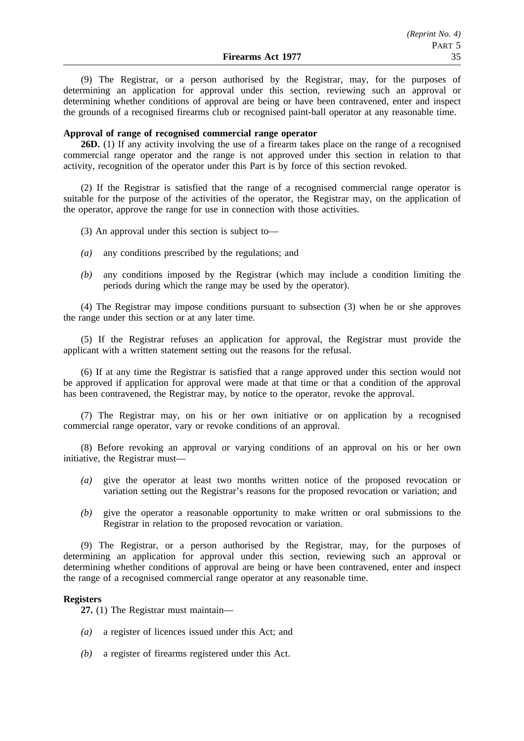(9) The Registrar, or a person authorised by the Registrar, may, for the purposes of determining an application for approval under this section, reviewing such an approval or determining whether conditions of approval are being or have been contravened, enter and inspect the grounds of a recognised firearms club or recognised paint-ball operator at any reasonable time.

#### **Approval of range of recognised commercial range operator**

**26D.** (1) If any activity involving the use of a firearm takes place on the range of a recognised commercial range operator and the range is not approved under this section in relation to that activity, recognition of the operator under this Part is by force of this section revoked.

(2) If the Registrar is satisfied that the range of a recognised commercial range operator is suitable for the purpose of the activities of the operator, the Registrar may, on the application of the operator, approve the range for use in connection with those activities.

(3) An approval under this section is subject to—

- *(a)* any conditions prescribed by the regulations; and
- *(b)* any conditions imposed by the Registrar (which may include a condition limiting the periods during which the range may be used by the operator).

(4) The Registrar may impose conditions pursuant to subsection (3) when he or she approves the range under this section or at any later time.

(5) If the Registrar refuses an application for approval, the Registrar must provide the applicant with a written statement setting out the reasons for the refusal.

(6) If at any time the Registrar is satisfied that a range approved under this section would not be approved if application for approval were made at that time or that a condition of the approval has been contravened, the Registrar may, by notice to the operator, revoke the approval.

(7) The Registrar may, on his or her own initiative or on application by a recognised commercial range operator, vary or revoke conditions of an approval.

(8) Before revoking an approval or varying conditions of an approval on his or her own initiative, the Registrar must—

- *(a)* give the operator at least two months written notice of the proposed revocation or variation setting out the Registrar's reasons for the proposed revocation or variation; and
- *(b)* give the operator a reasonable opportunity to make written or oral submissions to the Registrar in relation to the proposed revocation or variation.

(9) The Registrar, or a person authorised by the Registrar, may, for the purposes of determining an application for approval under this section, reviewing such an approval or determining whether conditions of approval are being or have been contravened, enter and inspect the range of a recognised commercial range operator at any reasonable time.

#### **Registers**

**27.** (1) The Registrar must maintain—

- *(a)* a register of licences issued under this Act; and
- *(b)* a register of firearms registered under this Act.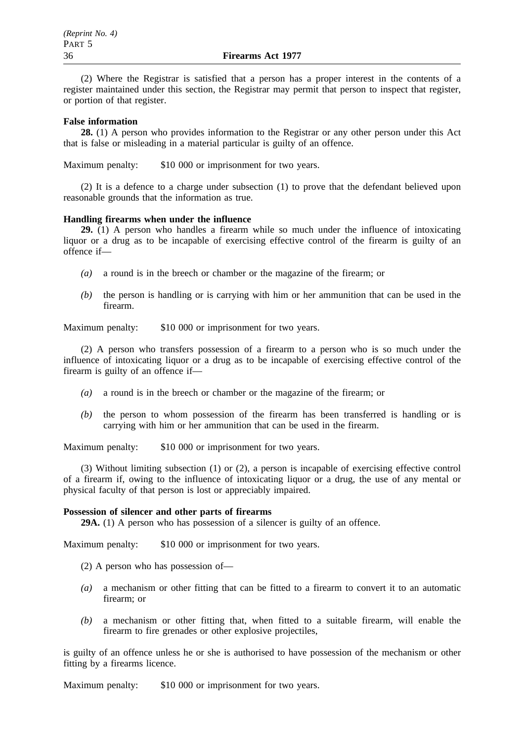(2) Where the Registrar is satisfied that a person has a proper interest in the contents of a register maintained under this section, the Registrar may permit that person to inspect that register, or portion of that register.

## **False information**

**28.** (1) A person who provides information to the Registrar or any other person under this Act that is false or misleading in a material particular is guilty of an offence.

Maximum penalty: \$10 000 or imprisonment for two years.

(2) It is a defence to a charge under subsection (1) to prove that the defendant believed upon reasonable grounds that the information as true.

#### **Handling firearms when under the influence**

**29.** (1) A person who handles a firearm while so much under the influence of intoxicating liquor or a drug as to be incapable of exercising effective control of the firearm is guilty of an offence if—

- *(a)* a round is in the breech or chamber or the magazine of the firearm; or
- *(b)* the person is handling or is carrying with him or her ammunition that can be used in the firearm.

Maximum penalty: \$10 000 or imprisonment for two years.

(2) A person who transfers possession of a firearm to a person who is so much under the influence of intoxicating liquor or a drug as to be incapable of exercising effective control of the firearm is guilty of an offence if—

- *(a)* a round is in the breech or chamber or the magazine of the firearm; or
- *(b)* the person to whom possession of the firearm has been transferred is handling or is carrying with him or her ammunition that can be used in the firearm.

Maximum penalty: \$10 000 or imprisonment for two years.

(3) Without limiting subsection (1) or (2), a person is incapable of exercising effective control of a firearm if, owing to the influence of intoxicating liquor or a drug, the use of any mental or physical faculty of that person is lost or appreciably impaired.

#### **Possession of silencer and other parts of firearms**

**29A.** (1) A person who has possession of a silencer is guilty of an offence.

Maximum penalty: \$10 000 or imprisonment for two years.

- (2) A person who has possession of—
- *(a)* a mechanism or other fitting that can be fitted to a firearm to convert it to an automatic firearm; or
- *(b)* a mechanism or other fitting that, when fitted to a suitable firearm, will enable the firearm to fire grenades or other explosive projectiles,

is guilty of an offence unless he or she is authorised to have possession of the mechanism or other fitting by a firearms licence.

Maximum penalty: \$10 000 or imprisonment for two years.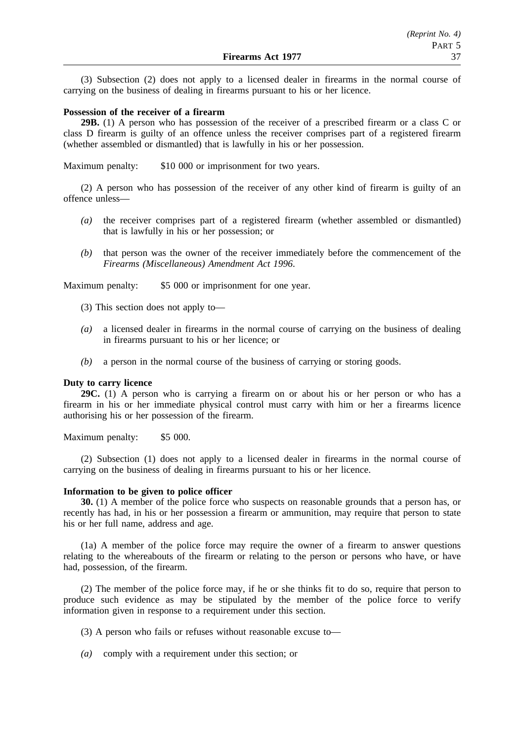(3) Subsection (2) does not apply to a licensed dealer in firearms in the normal course of carrying on the business of dealing in firearms pursuant to his or her licence.

### **Possession of the receiver of a firearm**

**29B.** (1) A person who has possession of the receiver of a prescribed firearm or a class C or class D firearm is guilty of an offence unless the receiver comprises part of a registered firearm (whether assembled or dismantled) that is lawfully in his or her possession.

Maximum penalty: \$10 000 or imprisonment for two years.

(2) A person who has possession of the receiver of any other kind of firearm is guilty of an offence unless—

- *(a)* the receiver comprises part of a registered firearm (whether assembled or dismantled) that is lawfully in his or her possession; or
- *(b)* that person was the owner of the receiver immediately before the commencement of the *Firearms (Miscellaneous) Amendment Act 1996*.

Maximum penalty: \$5 000 or imprisonment for one year.

(3) This section does not apply to—

- *(a)* a licensed dealer in firearms in the normal course of carrying on the business of dealing in firearms pursuant to his or her licence; or
- *(b)* a person in the normal course of the business of carrying or storing goods.

#### **Duty to carry licence**

**29C.** (1) A person who is carrying a firearm on or about his or her person or who has a firearm in his or her immediate physical control must carry with him or her a firearms licence authorising his or her possession of the firearm.

Maximum penalty: \$5 000.

(2) Subsection (1) does not apply to a licensed dealer in firearms in the normal course of carrying on the business of dealing in firearms pursuant to his or her licence.

#### **Information to be given to police officer**

**30.** (1) A member of the police force who suspects on reasonable grounds that a person has, or recently has had, in his or her possession a firearm or ammunition, may require that person to state his or her full name, address and age.

(1a) A member of the police force may require the owner of a firearm to answer questions relating to the whereabouts of the firearm or relating to the person or persons who have, or have had, possession, of the firearm.

(2) The member of the police force may, if he or she thinks fit to do so, require that person to produce such evidence as may be stipulated by the member of the police force to verify information given in response to a requirement under this section.

(3) A person who fails or refuses without reasonable excuse to—

*(a)* comply with a requirement under this section; or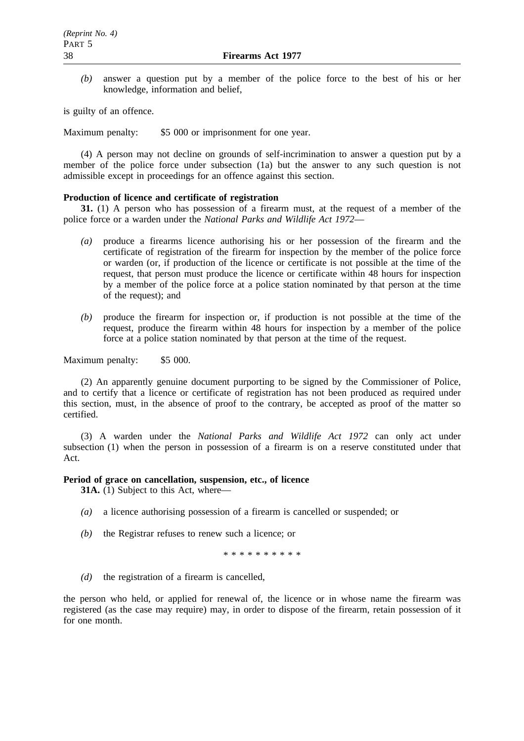*(b)* answer a question put by a member of the police force to the best of his or her knowledge, information and belief,

is guilty of an offence.

Maximum penalty: \$5 000 or imprisonment for one year.

(4) A person may not decline on grounds of self-incrimination to answer a question put by a member of the police force under subsection (1a) but the answer to any such question is not admissible except in proceedings for an offence against this section.

#### **Production of licence and certificate of registration**

**31.** (1) A person who has possession of a firearm must, at the request of a member of the police force or a warden under the *National Parks and Wildlife Act 1972*—

- *(a)* produce a firearms licence authorising his or her possession of the firearm and the certificate of registration of the firearm for inspection by the member of the police force or warden (or, if production of the licence or certificate is not possible at the time of the request, that person must produce the licence or certificate within 48 hours for inspection by a member of the police force at a police station nominated by that person at the time of the request); and
- *(b)* produce the firearm for inspection or, if production is not possible at the time of the request, produce the firearm within 48 hours for inspection by a member of the police force at a police station nominated by that person at the time of the request.

Maximum penalty: \$5 000.

(2) An apparently genuine document purporting to be signed by the Commissioner of Police, and to certify that a licence or certificate of registration has not been produced as required under this section, must, in the absence of proof to the contrary, be accepted as proof of the matter so certified.

(3) A warden under the *National Parks and Wildlife Act 1972* can only act under subsection (1) when the person in possession of a firearm is on a reserve constituted under that Act.

#### **Period of grace on cancellation, suspension, etc., of licence**

**31A.** (1) Subject to this Act, where—

- *(a)* a licence authorising possession of a firearm is cancelled or suspended; or
- *(b)* the Registrar refuses to renew such a licence; or

\*\*\*\*\*\*\*\*\*\*

*(d)* the registration of a firearm is cancelled,

the person who held, or applied for renewal of, the licence or in whose name the firearm was registered (as the case may require) may, in order to dispose of the firearm, retain possession of it for one month.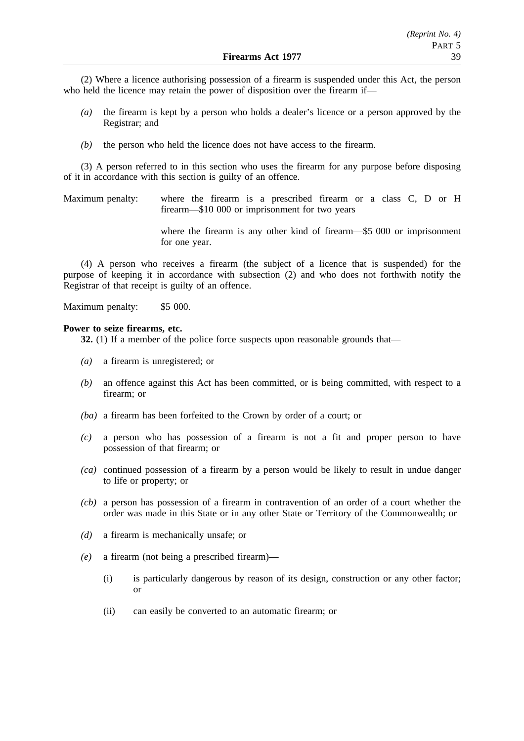(2) Where a licence authorising possession of a firearm is suspended under this Act, the person who held the licence may retain the power of disposition over the firearm if—

- *(a)* the firearm is kept by a person who holds a dealer's licence or a person approved by the Registrar; and
- *(b)* the person who held the licence does not have access to the firearm.

(3) A person referred to in this section who uses the firearm for any purpose before disposing of it in accordance with this section is guilty of an offence.

Maximum penalty: where the firearm is a prescribed firearm or a class C, D or H firearm—\$10 000 or imprisonment for two years

> where the firearm is any other kind of firearm—\$5 000 or imprisonment for one year.

(4) A person who receives a firearm (the subject of a licence that is suspended) for the purpose of keeping it in accordance with subsection (2) and who does not forthwith notify the Registrar of that receipt is guilty of an offence.

Maximum penalty: \$5 000.

#### **Power to seize firearms, etc.**

**32.** (1) If a member of the police force suspects upon reasonable grounds that—

- *(a)* a firearm is unregistered; or
- *(b)* an offence against this Act has been committed, or is being committed, with respect to a firearm; or
- *(ba)* a firearm has been forfeited to the Crown by order of a court; or
- *(c)* a person who has possession of a firearm is not a fit and proper person to have possession of that firearm; or
- *(ca)* continued possession of a firearm by a person would be likely to result in undue danger to life or property; or
- *(cb)* a person has possession of a firearm in contravention of an order of a court whether the order was made in this State or in any other State or Territory of the Commonwealth; or
- *(d)* a firearm is mechanically unsafe; or
- *(e)* a firearm (not being a prescribed firearm)—
	- (i) is particularly dangerous by reason of its design, construction or any other factor; or
	- (ii) can easily be converted to an automatic firearm; or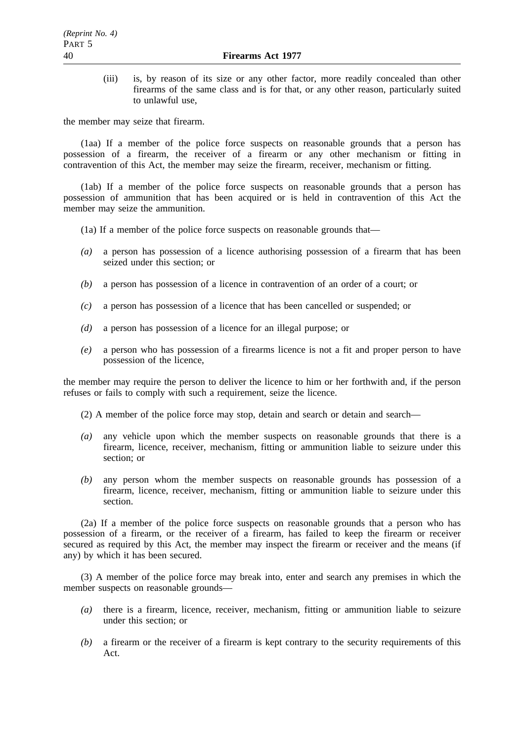(iii) is, by reason of its size or any other factor, more readily concealed than other firearms of the same class and is for that, or any other reason, particularly suited to unlawful use,

the member may seize that firearm.

(1aa) If a member of the police force suspects on reasonable grounds that a person has possession of a firearm, the receiver of a firearm or any other mechanism or fitting in contravention of this Act, the member may seize the firearm, receiver, mechanism or fitting.

(1ab) If a member of the police force suspects on reasonable grounds that a person has possession of ammunition that has been acquired or is held in contravention of this Act the member may seize the ammunition.

(1a) If a member of the police force suspects on reasonable grounds that—

- *(a)* a person has possession of a licence authorising possession of a firearm that has been seized under this section; or
- *(b)* a person has possession of a licence in contravention of an order of a court; or
- *(c)* a person has possession of a licence that has been cancelled or suspended; or
- *(d)* a person has possession of a licence for an illegal purpose; or
- *(e)* a person who has possession of a firearms licence is not a fit and proper person to have possession of the licence,

the member may require the person to deliver the licence to him or her forthwith and, if the person refuses or fails to comply with such a requirement, seize the licence.

- (2) A member of the police force may stop, detain and search or detain and search—
- *(a)* any vehicle upon which the member suspects on reasonable grounds that there is a firearm, licence, receiver, mechanism, fitting or ammunition liable to seizure under this section; or
- *(b)* any person whom the member suspects on reasonable grounds has possession of a firearm, licence, receiver, mechanism, fitting or ammunition liable to seizure under this section.

(2a) If a member of the police force suspects on reasonable grounds that a person who has possession of a firearm, or the receiver of a firearm, has failed to keep the firearm or receiver secured as required by this Act, the member may inspect the firearm or receiver and the means (if any) by which it has been secured.

(3) A member of the police force may break into, enter and search any premises in which the member suspects on reasonable grounds—

- *(a)* there is a firearm, licence, receiver, mechanism, fitting or ammunition liable to seizure under this section; or
- *(b)* a firearm or the receiver of a firearm is kept contrary to the security requirements of this Act.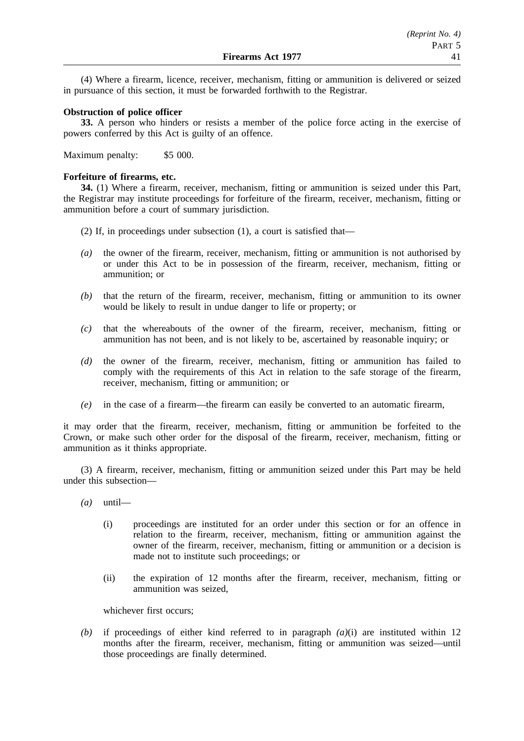(4) Where a firearm, licence, receiver, mechanism, fitting or ammunition is delivered or seized in pursuance of this section, it must be forwarded forthwith to the Registrar.

## **Obstruction of police officer**

**33.** A person who hinders or resists a member of the police force acting in the exercise of powers conferred by this Act is guilty of an offence.

Maximum penalty: \$5 000.

# **Forfeiture of firearms, etc.**

**34.** (1) Where a firearm, receiver, mechanism, fitting or ammunition is seized under this Part, the Registrar may institute proceedings for forfeiture of the firearm, receiver, mechanism, fitting or ammunition before a court of summary jurisdiction.

- (2) If, in proceedings under subsection (1), a court is satisfied that—
- *(a)* the owner of the firearm, receiver, mechanism, fitting or ammunition is not authorised by or under this Act to be in possession of the firearm, receiver, mechanism, fitting or ammunition; or
- *(b)* that the return of the firearm, receiver, mechanism, fitting or ammunition to its owner would be likely to result in undue danger to life or property; or
- *(c)* that the whereabouts of the owner of the firearm, receiver, mechanism, fitting or ammunition has not been, and is not likely to be, ascertained by reasonable inquiry; or
- *(d)* the owner of the firearm, receiver, mechanism, fitting or ammunition has failed to comply with the requirements of this Act in relation to the safe storage of the firearm, receiver, mechanism, fitting or ammunition; or
- *(e)* in the case of a firearm—the firearm can easily be converted to an automatic firearm,

it may order that the firearm, receiver, mechanism, fitting or ammunition be forfeited to the Crown, or make such other order for the disposal of the firearm, receiver, mechanism, fitting or ammunition as it thinks appropriate.

(3) A firearm, receiver, mechanism, fitting or ammunition seized under this Part may be held under this subsection—

- *(a)* until—
	- (i) proceedings are instituted for an order under this section or for an offence in relation to the firearm, receiver, mechanism, fitting or ammunition against the owner of the firearm, receiver, mechanism, fitting or ammunition or a decision is made not to institute such proceedings; or
	- (ii) the expiration of 12 months after the firearm, receiver, mechanism, fitting or ammunition was seized,

whichever first occurs;

*(b)* if proceedings of either kind referred to in paragraph *(a)*(i) are instituted within 12 months after the firearm, receiver, mechanism, fitting or ammunition was seized—until those proceedings are finally determined.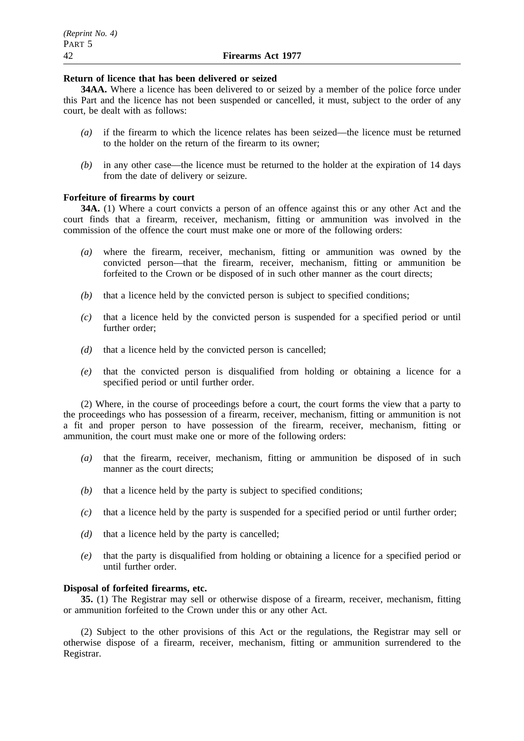## **Return of licence that has been delivered or seized**

**34AA.** Where a licence has been delivered to or seized by a member of the police force under this Part and the licence has not been suspended or cancelled, it must, subject to the order of any court, be dealt with as follows:

- *(a)* if the firearm to which the licence relates has been seized—the licence must be returned to the holder on the return of the firearm to its owner;
- *(b)* in any other case—the licence must be returned to the holder at the expiration of 14 days from the date of delivery or seizure.

# **Forfeiture of firearms by court**

**34A.** (1) Where a court convicts a person of an offence against this or any other Act and the court finds that a firearm, receiver, mechanism, fitting or ammunition was involved in the commission of the offence the court must make one or more of the following orders:

- *(a)* where the firearm, receiver, mechanism, fitting or ammunition was owned by the convicted person—that the firearm, receiver, mechanism, fitting or ammunition be forfeited to the Crown or be disposed of in such other manner as the court directs;
- *(b)* that a licence held by the convicted person is subject to specified conditions;
- *(c)* that a licence held by the convicted person is suspended for a specified period or until further order;
- *(d)* that a licence held by the convicted person is cancelled;
- *(e)* that the convicted person is disqualified from holding or obtaining a licence for a specified period or until further order.

(2) Where, in the course of proceedings before a court, the court forms the view that a party to the proceedings who has possession of a firearm, receiver, mechanism, fitting or ammunition is not a fit and proper person to have possession of the firearm, receiver, mechanism, fitting or ammunition, the court must make one or more of the following orders:

- *(a)* that the firearm, receiver, mechanism, fitting or ammunition be disposed of in such manner as the court directs;
- *(b)* that a licence held by the party is subject to specified conditions;
- *(c)* that a licence held by the party is suspended for a specified period or until further order;
- *(d)* that a licence held by the party is cancelled;
- *(e)* that the party is disqualified from holding or obtaining a licence for a specified period or until further order.

## **Disposal of forfeited firearms, etc.**

**35.** (1) The Registrar may sell or otherwise dispose of a firearm, receiver, mechanism, fitting or ammunition forfeited to the Crown under this or any other Act.

(2) Subject to the other provisions of this Act or the regulations, the Registrar may sell or otherwise dispose of a firearm, receiver, mechanism, fitting or ammunition surrendered to the Registrar.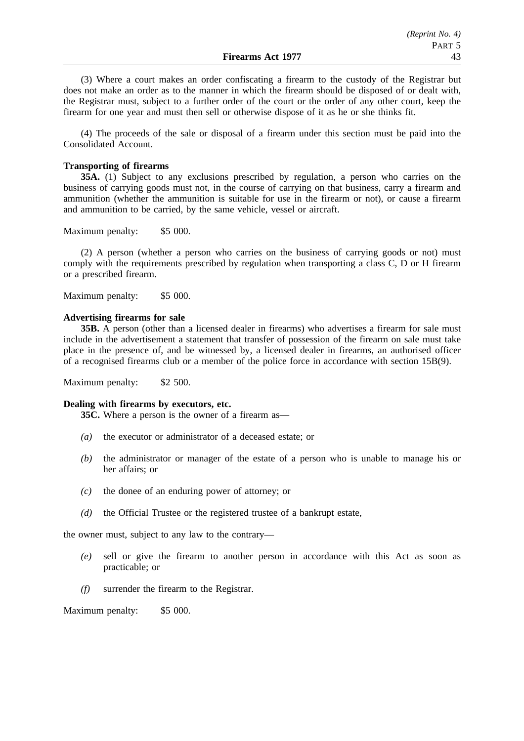(3) Where a court makes an order confiscating a firearm to the custody of the Registrar but does not make an order as to the manner in which the firearm should be disposed of or dealt with, the Registrar must, subject to a further order of the court or the order of any other court, keep the firearm for one year and must then sell or otherwise dispose of it as he or she thinks fit.

(4) The proceeds of the sale or disposal of a firearm under this section must be paid into the Consolidated Account.

# **Transporting of firearms**

**35A.** (1) Subject to any exclusions prescribed by regulation, a person who carries on the business of carrying goods must not, in the course of carrying on that business, carry a firearm and ammunition (whether the ammunition is suitable for use in the firearm or not), or cause a firearm and ammunition to be carried, by the same vehicle, vessel or aircraft.

Maximum penalty: \$5 000.

(2) A person (whether a person who carries on the business of carrying goods or not) must comply with the requirements prescribed by regulation when transporting a class C, D or H firearm or a prescribed firearm.

Maximum penalty: \$5 000.

## **Advertising firearms for sale**

**35B.** A person (other than a licensed dealer in firearms) who advertises a firearm for sale must include in the advertisement a statement that transfer of possession of the firearm on sale must take place in the presence of, and be witnessed by, a licensed dealer in firearms, an authorised officer of a recognised firearms club or a member of the police force in accordance with section 15B(9).

Maximum penalty: \$2 500.

## **Dealing with firearms by executors, etc.**

**35C.** Where a person is the owner of a firearm as—

- *(a)* the executor or administrator of a deceased estate; or
- *(b)* the administrator or manager of the estate of a person who is unable to manage his or her affairs; or
- *(c)* the donee of an enduring power of attorney; or
- *(d)* the Official Trustee or the registered trustee of a bankrupt estate,

the owner must, subject to any law to the contrary—

- *(e)* sell or give the firearm to another person in accordance with this Act as soon as practicable; or
- *(f)* surrender the firearm to the Registrar.

Maximum penalty: \$5 000.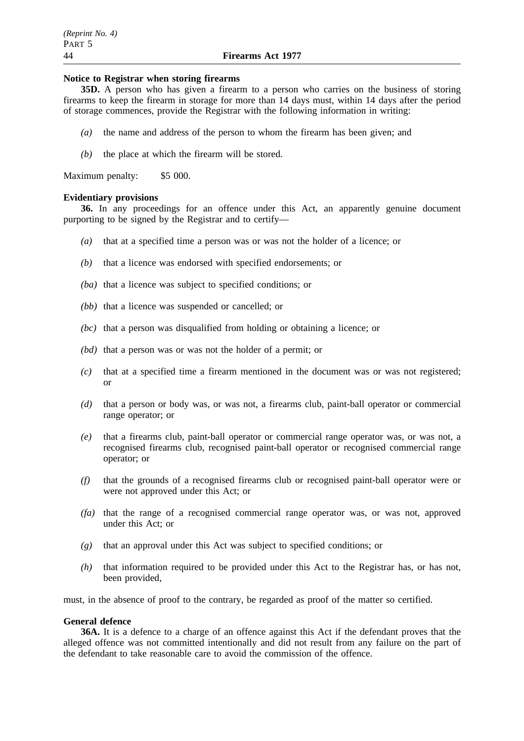#### **Notice to Registrar when storing firearms**

**35D.** A person who has given a firearm to a person who carries on the business of storing firearms to keep the firearm in storage for more than 14 days must, within 14 days after the period of storage commences, provide the Registrar with the following information in writing:

- *(a)* the name and address of the person to whom the firearm has been given; and
- *(b)* the place at which the firearm will be stored.

Maximum penalty: \$5 000.

#### **Evidentiary provisions**

**36.** In any proceedings for an offence under this Act, an apparently genuine document purporting to be signed by the Registrar and to certify—

- *(a)* that at a specified time a person was or was not the holder of a licence; or
- *(b)* that a licence was endorsed with specified endorsements; or
- *(ba)* that a licence was subject to specified conditions; or
- *(bb)* that a licence was suspended or cancelled; or
- *(bc)* that a person was disqualified from holding or obtaining a licence; or
- *(bd)* that a person was or was not the holder of a permit; or
- *(c)* that at a specified time a firearm mentioned in the document was or was not registered; or
- *(d)* that a person or body was, or was not, a firearms club, paint-ball operator or commercial range operator; or
- *(e)* that a firearms club, paint-ball operator or commercial range operator was, or was not, a recognised firearms club, recognised paint-ball operator or recognised commercial range operator; or
- *(f)* that the grounds of a recognised firearms club or recognised paint-ball operator were or were not approved under this Act; or
- *(fa)* that the range of a recognised commercial range operator was, or was not, approved under this Act; or
- *(g)* that an approval under this Act was subject to specified conditions; or
- *(h)* that information required to be provided under this Act to the Registrar has, or has not, been provided,

must, in the absence of proof to the contrary, be regarded as proof of the matter so certified.

## **General defence**

**36A.** It is a defence to a charge of an offence against this Act if the defendant proves that the alleged offence was not committed intentionally and did not result from any failure on the part of the defendant to take reasonable care to avoid the commission of the offence.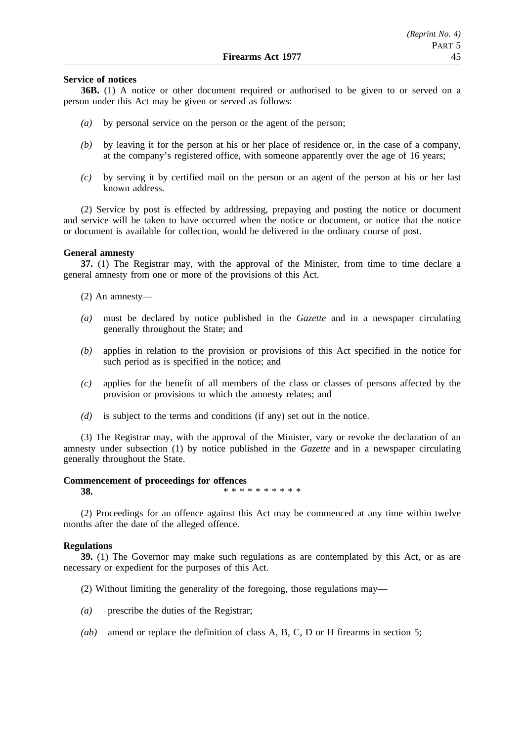## **Service of notices**

**36B.** (1) A notice or other document required or authorised to be given to or served on a person under this Act may be given or served as follows:

- *(a)* by personal service on the person or the agent of the person;
- *(b)* by leaving it for the person at his or her place of residence or, in the case of a company, at the company's registered office, with someone apparently over the age of 16 years;
- *(c)* by serving it by certified mail on the person or an agent of the person at his or her last known address.

(2) Service by post is effected by addressing, prepaying and posting the notice or document and service will be taken to have occurred when the notice or document, or notice that the notice or document is available for collection, would be delivered in the ordinary course of post.

## **General amnesty**

**37.** (1) The Registrar may, with the approval of the Minister, from time to time declare a general amnesty from one or more of the provisions of this Act.

(2) An amnesty—

- *(a)* must be declared by notice published in the *Gazette* and in a newspaper circulating generally throughout the State; and
- *(b)* applies in relation to the provision or provisions of this Act specified in the notice for such period as is specified in the notice; and
- *(c)* applies for the benefit of all members of the class or classes of persons affected by the provision or provisions to which the amnesty relates; and
- *(d)* is subject to the terms and conditions (if any) set out in the notice.

(3) The Registrar may, with the approval of the Minister, vary or revoke the declaration of an amnesty under subsection (1) by notice published in the *Gazette* and in a newspaper circulating generally throughout the State.

#### **Commencement of proceedings for offences**

**38.** \*\*\*\*\*\*\*\*\*\*

(2) Proceedings for an offence against this Act may be commenced at any time within twelve months after the date of the alleged offence.

## **Regulations**

**39.** (1) The Governor may make such regulations as are contemplated by this Act, or as are necessary or expedient for the purposes of this Act.

(2) Without limiting the generality of the foregoing, those regulations may—

- *(a)* prescribe the duties of the Registrar;
- *(ab)* amend or replace the definition of class A, B, C, D or H firearms in section 5;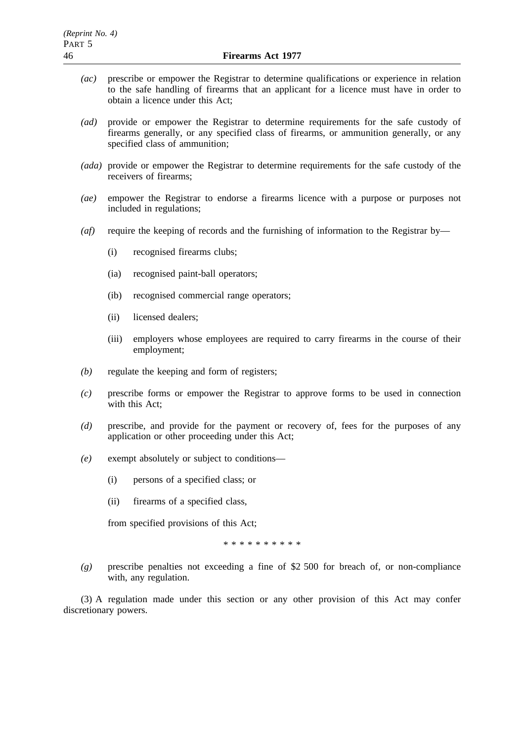- *(ac)* prescribe or empower the Registrar to determine qualifications or experience in relation to the safe handling of firearms that an applicant for a licence must have in order to obtain a licence under this Act;
- *(ad)* provide or empower the Registrar to determine requirements for the safe custody of firearms generally, or any specified class of firearms, or ammunition generally, or any specified class of ammunition;
- *(ada)* provide or empower the Registrar to determine requirements for the safe custody of the receivers of firearms;
- *(ae)* empower the Registrar to endorse a firearms licence with a purpose or purposes not included in regulations;
- *(af)* require the keeping of records and the furnishing of information to the Registrar by—
	- (i) recognised firearms clubs;
	- (ia) recognised paint-ball operators;
	- (ib) recognised commercial range operators;
	- (ii) licensed dealers;
	- (iii) employers whose employees are required to carry firearms in the course of their employment;
- *(b)* regulate the keeping and form of registers;
- *(c)* prescribe forms or empower the Registrar to approve forms to be used in connection with this Act;
- *(d)* prescribe, and provide for the payment or recovery of, fees for the purposes of any application or other proceeding under this Act;
- *(e)* exempt absolutely or subject to conditions—
	- (i) persons of a specified class; or
	- (ii) firearms of a specified class,

from specified provisions of this Act;

\*\*\*\*\*\*\*\*\*\*

*(g)* prescribe penalties not exceeding a fine of \$2 500 for breach of, or non-compliance with, any regulation.

(3) A regulation made under this section or any other provision of this Act may confer discretionary powers.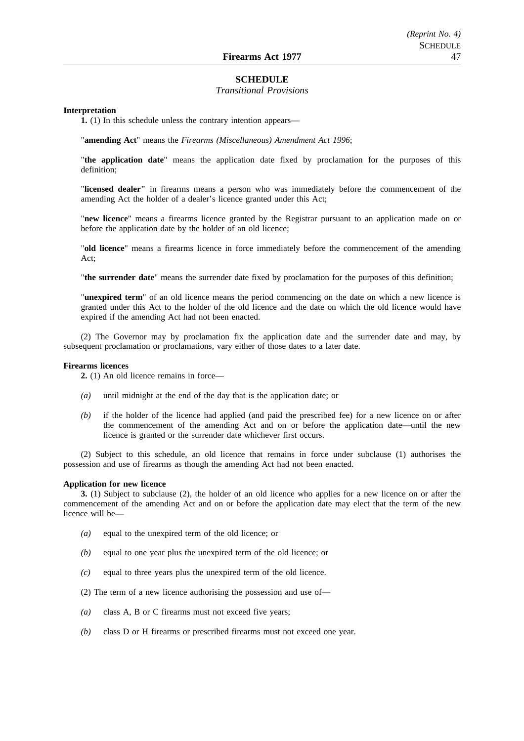#### **SCHEDULE**

#### *Transitional Provisions*

#### **Interpretation**

**1.** (1) In this schedule unless the contrary intention appears—

"**amending Act**" means the *Firearms (Miscellaneous) Amendment Act 1996*;

"**the application date**" means the application date fixed by proclamation for the purposes of this definition;

"**licensed dealer"** in firearms means a person who was immediately before the commencement of the amending Act the holder of a dealer's licence granted under this Act;

"**new licence**" means a firearms licence granted by the Registrar pursuant to an application made on or before the application date by the holder of an old licence;

"**old licence**" means a firearms licence in force immediately before the commencement of the amending Act;

"**the surrender date**" means the surrender date fixed by proclamation for the purposes of this definition;

"**unexpired term**" of an old licence means the period commencing on the date on which a new licence is granted under this Act to the holder of the old licence and the date on which the old licence would have expired if the amending Act had not been enacted.

(2) The Governor may by proclamation fix the application date and the surrender date and may, by subsequent proclamation or proclamations, vary either of those dates to a later date.

#### **Firearms licences**

**2.** (1) An old licence remains in force—

- *(a)* until midnight at the end of the day that is the application date; or
- *(b)* if the holder of the licence had applied (and paid the prescribed fee) for a new licence on or after the commencement of the amending Act and on or before the application date—until the new licence is granted or the surrender date whichever first occurs.

(2) Subject to this schedule, an old licence that remains in force under subclause (1) authorises the possession and use of firearms as though the amending Act had not been enacted.

#### **Application for new licence**

**3.** (1) Subject to subclause (2), the holder of an old licence who applies for a new licence on or after the commencement of the amending Act and on or before the application date may elect that the term of the new licence will be—

- *(a)* equal to the unexpired term of the old licence; or
- *(b)* equal to one year plus the unexpired term of the old licence; or
- *(c)* equal to three years plus the unexpired term of the old licence.

(2) The term of a new licence authorising the possession and use of—

- *(a)* class A, B or C firearms must not exceed five years;
- *(b)* class D or H firearms or prescribed firearms must not exceed one year.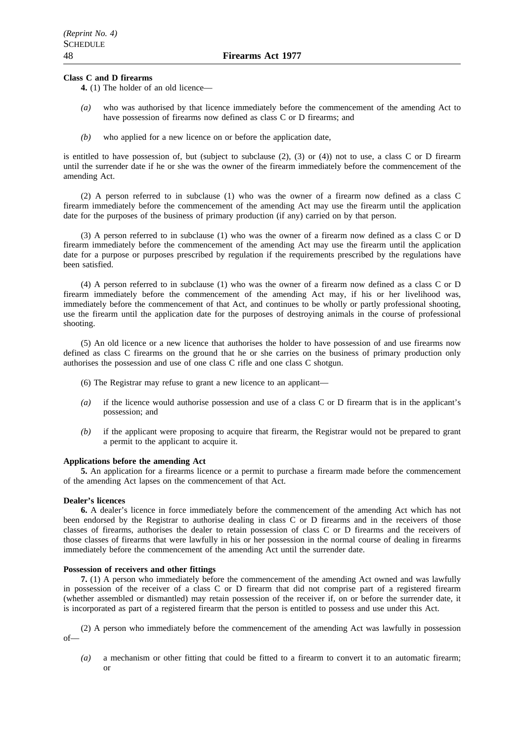#### **Class C and D firearms**

**4.** (1) The holder of an old licence—

- *(a)* who was authorised by that licence immediately before the commencement of the amending Act to have possession of firearms now defined as class C or D firearms; and
- *(b)* who applied for a new licence on or before the application date,

is entitled to have possession of, but (subject to subclause (2), (3) or (4)) not to use, a class C or D firearm until the surrender date if he or she was the owner of the firearm immediately before the commencement of the amending Act.

(2) A person referred to in subclause (1) who was the owner of a firearm now defined as a class C firearm immediately before the commencement of the amending Act may use the firearm until the application date for the purposes of the business of primary production (if any) carried on by that person.

(3) A person referred to in subclause (1) who was the owner of a firearm now defined as a class C or D firearm immediately before the commencement of the amending Act may use the firearm until the application date for a purpose or purposes prescribed by regulation if the requirements prescribed by the regulations have been satisfied.

(4) A person referred to in subclause (1) who was the owner of a firearm now defined as a class C or D firearm immediately before the commencement of the amending Act may, if his or her livelihood was, immediately before the commencement of that Act, and continues to be wholly or partly professional shooting, use the firearm until the application date for the purposes of destroying animals in the course of professional shooting.

(5) An old licence or a new licence that authorises the holder to have possession of and use firearms now defined as class C firearms on the ground that he or she carries on the business of primary production only authorises the possession and use of one class C rifle and one class C shotgun.

- (6) The Registrar may refuse to grant a new licence to an applicant—
- *(a)* if the licence would authorise possession and use of a class C or D firearm that is in the applicant's possession; and
- *(b)* if the applicant were proposing to acquire that firearm, the Registrar would not be prepared to grant a permit to the applicant to acquire it.

#### **Applications before the amending Act**

**5.** An application for a firearms licence or a permit to purchase a firearm made before the commencement of the amending Act lapses on the commencement of that Act.

#### **Dealer's licences**

**6.** A dealer's licence in force immediately before the commencement of the amending Act which has not been endorsed by the Registrar to authorise dealing in class C or D firearms and in the receivers of those classes of firearms, authorises the dealer to retain possession of class C or D firearms and the receivers of those classes of firearms that were lawfully in his or her possession in the normal course of dealing in firearms immediately before the commencement of the amending Act until the surrender date.

#### **Possession of receivers and other fittings**

**7.** (1) A person who immediately before the commencement of the amending Act owned and was lawfully in possession of the receiver of a class C or D firearm that did not comprise part of a registered firearm (whether assembled or dismantled) may retain possession of the receiver if, on or before the surrender date, it is incorporated as part of a registered firearm that the person is entitled to possess and use under this Act.

(2) A person who immediately before the commencement of the amending Act was lawfully in possession of—

*(a)* a mechanism or other fitting that could be fitted to a firearm to convert it to an automatic firearm; or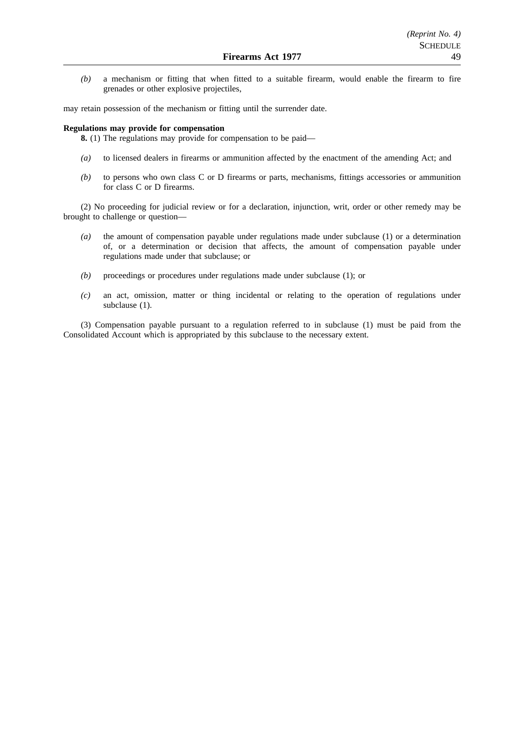*(b)* a mechanism or fitting that when fitted to a suitable firearm, would enable the firearm to fire grenades or other explosive projectiles,

may retain possession of the mechanism or fitting until the surrender date.

#### **Regulations may provide for compensation**

**8.** (1) The regulations may provide for compensation to be paid—

- *(a)* to licensed dealers in firearms or ammunition affected by the enactment of the amending Act; and
- *(b)* to persons who own class C or D firearms or parts, mechanisms, fittings accessories or ammunition for class C or D firearms.

(2) No proceeding for judicial review or for a declaration, injunction, writ, order or other remedy may be brought to challenge or question—

- *(a)* the amount of compensation payable under regulations made under subclause (1) or a determination of, or a determination or decision that affects, the amount of compensation payable under regulations made under that subclause; or
- *(b)* proceedings or procedures under regulations made under subclause (1); or
- *(c)* an act, omission, matter or thing incidental or relating to the operation of regulations under subclause (1).

(3) Compensation payable pursuant to a regulation referred to in subclause (1) must be paid from the Consolidated Account which is appropriated by this subclause to the necessary extent.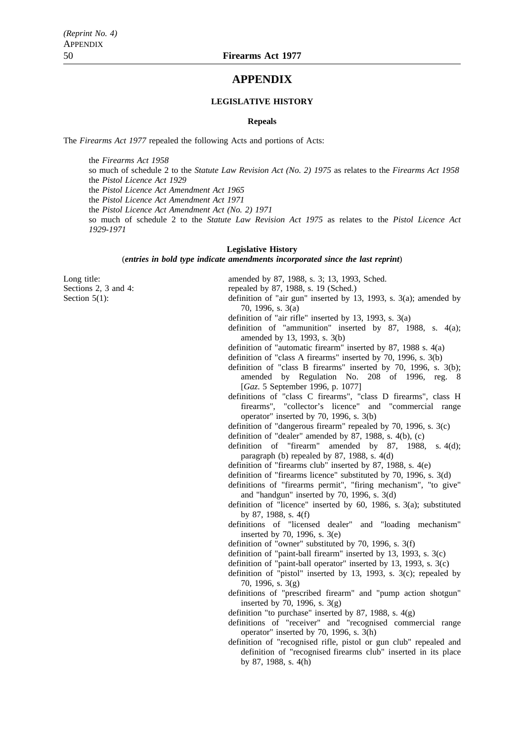## **APPENDIX**

#### **LEGISLATIVE HISTORY**

#### **Repeals**

The *Firearms Act 1977* repealed the following Acts and portions of Acts:

the *Firearms Act 1958* so much of schedule 2 to the *Statute Law Revision Act (No. 2) 1975* as relates to the *Firearms Act 1958* the *Pistol Licence Act 1929* the *Pistol Licence Act Amendment Act 1965* the *Pistol Licence Act Amendment Act 1971* the *Pistol Licence Act Amendment Act (No. 2) 1971* so much of schedule 2 to the *Statute Law Revision Act 1975* as relates to the *Pistol Licence Act 1929-1971*

#### **Legislative History**

(*entries in bold type indicate amendments incorporated since the last reprint*)

Long title: **amended** by 87, 1988, s. 3; 13, 1993, Sched.

Sections 2, 3 and 4: repealed by 87, 1988, s. 19 (Sched.)

Section 5(1): definition of "air gun" inserted by 13, 1993, s. 3(a); amended by 70, 1996, s. 3(a)

definition of "air rifle" inserted by 13, 1993, s. 3(a)

- definition of "ammunition" inserted by 87, 1988, s. 4(a); amended by 13, 1993, s. 3(b)
- definition of "automatic firearm" inserted by 87, 1988 s. 4(a)
- definition of "class A firearms" inserted by 70, 1996, s. 3(b)
- definition of "class B firearms" inserted by 70, 1996, s. 3(b); amended by Regulation No. 208 of 1996, reg. 8 [*Gaz*. 5 September 1996, p. 1077]
- definitions of "class C firearms", "class D firearms", class H firearms", "collector's licence" and "commercial range operator" inserted by 70, 1996, s. 3(b)
- definition of "dangerous firearm" repealed by 70, 1996, s. 3(c)

definition of "dealer" amended by 87, 1988, s. 4(b), (c)

definition of "firearm" amended by 87, 1988, s. 4(d); paragraph (b) repealed by 87, 1988, s. 4(d)

definition of "firearms club" inserted by 87, 1988, s. 4(e)

- definition of "firearms licence" substituted by 70, 1996, s. 3(d)
- definitions of "firearms permit", "firing mechanism", "to give" and "handgun" inserted by 70, 1996, s. 3(d)
- definition of "licence" inserted by 60, 1986, s. 3(a); substituted by 87, 1988, s. 4(f)
- definitions of "licensed dealer" and "loading mechanism" inserted by 70, 1996, s. 3(e)
- definition of "owner" substituted by 70, 1996, s. 3(f)
- definition of "paint-ball firearm" inserted by 13, 1993, s. 3(c)
- definition of "paint-ball operator" inserted by 13, 1993, s. 3(c)
- definition of "pistol" inserted by 13, 1993, s. 3(c); repealed by 70, 1996, s. 3(g)
- definitions of "prescribed firearm" and "pump action shotgun" inserted by 70, 1996, s.  $3(g)$

definition "to purchase" inserted by 87, 1988, s.  $4(g)$ 

- definitions of "receiver" and "recognised commercial range operator" inserted by 70, 1996, s. 3(h)
- definition of "recognised rifle, pistol or gun club" repealed and definition of "recognised firearms club" inserted in its place by 87, 1988, s. 4(h)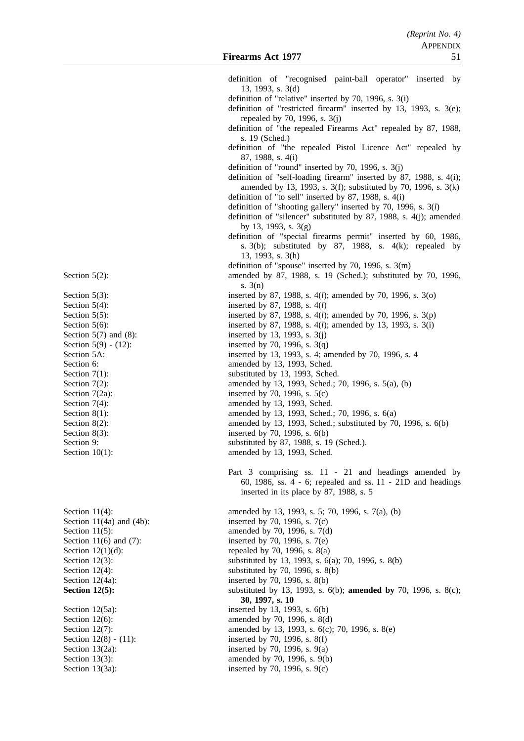definition of "recognised paint-ball operator" inserted by 13, 1993, s. 3(d) definition of "relative" inserted by 70, 1996, s. 3(i) definition of "restricted firearm" inserted by 13, 1993, s. 3(e); repealed by 70, 1996, s. 3(j) definition of "the repealed Firearms Act" repealed by 87, 1988, s. 19 (Sched.) definition of "the repealed Pistol Licence Act" repealed by 87, 1988, s. 4(i) definition of "round" inserted by 70, 1996, s. 3(j) definition of "self-loading firearm" inserted by 87, 1988, s. 4(i); amended by 13, 1993, s. 3(f); substituted by 70, 1996, s. 3(k) definition of "to sell" inserted by 87, 1988, s. 4(i) definition of "shooting gallery" inserted by 70, 1996, s. 3(*l*) definition of "silencer" substituted by 87, 1988, s. 4(j); amended by 13, 1993, s. 3(g) definition of "special firearms permit" inserted by 60, 1986, s.  $3(b)$ ; substituted by 87, 1988, s.  $4(k)$ ; repealed by 13, 1993, s. 3(h) definition of "spouse" inserted by 70, 1996, s. 3(m) Section 5(2): amended by 87, 1988, s. 19 (Sched.); substituted by 70, 1996, s. 3(n) Section 5(3): inserted by 87, 1988, s. 4(*l*); amended by 70, 1996, s. 3(o) Section 5(4): inserted by 87, 1988, s. 4(*l*) Section 5(5): inserted by 87, 1988, s. 4(*l*); amended by 70, 1996, s. 3(*p*) Section 5(6): inserted by 87, 1988, s. 4(*l*); amended by 13, 1993, s. 3(i) Section  $5(7)$  and  $(8)$ : inserted by 13, 1993, s.  $3(i)$ Section 5(9) - (12): inserted by 70, 1996, s.  $3(q)$ Section 5A: inserted by 13, 1993, s. 4; amended by 70, 1996, s. 4 Section 6: **amended** by 13, 1993, Sched. Section 7(1): substituted by 13, 1993, Sched. Section 7(2): amended by 13, 1993, Sched.; 70, 1996, s. 5(a), (b) Section  $7(2a)$ : inserted by 70, 1996, s.  $5(c)$ Section 7(4): amended by 13, 1993, Sched. Section 8(1): amended by 13, 1993, Sched.; 70, 1996, s. 6(a) Section 8(2): amended by 13, 1993, Sched.; substituted by 70, 1996, s. 6(b) Section 8(3): inserted by 70, 1996, s. 6(b) Section 9: substituted by 87, 1988, s. 19 (Sched.). Section 10(1): amended by 13, 1993, Sched. Part 3 comprising ss. 11 - 21 and headings amended by 60, 1986, ss. 4 - 6; repealed and ss. 11 - 21D and headings inserted in its place by 87, 1988, s. 5 Section 11(4): amended by 13, 1993, s. 5; 70, 1996, s. 7(a), (b) Section 11(4a) and (4b): inserted by 70, 1996, s.  $7(c)$ Section 11(5): amended by 70, 1996, s. 7(d) Section 11(6) and (7): inserted by 70, 1996, s.  $7(e)$ Section  $12(1)(d)$ : repealed by 70, 1996, s.  $8(a)$ Section 12(3): substituted by 13, 1993, s. 6(a); 70, 1996, s. 8(b) Section  $12(4)$ : substituted by 70, 1996, s.  $8(b)$ Section 12(4a): inserted by 70, 1996, s. 8(b) **Section 12(5):** substituted by 13, 1993, s. 6(b); **amended by** 70, 1996, s. 8(c); **30, 1997, s. 10** Section 12(5a): inserted by 13, 1993, s. 6(b) Section 12(6): amended by 70, 1996, s. 8(d) Section 12(7): amended by 13, 1993, s. 6(c); 70, 1996, s. 8(e) Section 12(8) - (11): inserted by 70, 1996, s. 8(f) Section 13(2a): inserted by 70, 1996, s. 9(a) Section 13(3): amended by 70, 1996, s. 9(b)

Section 13(3a): inserted by 70, 1996, s. 9(c)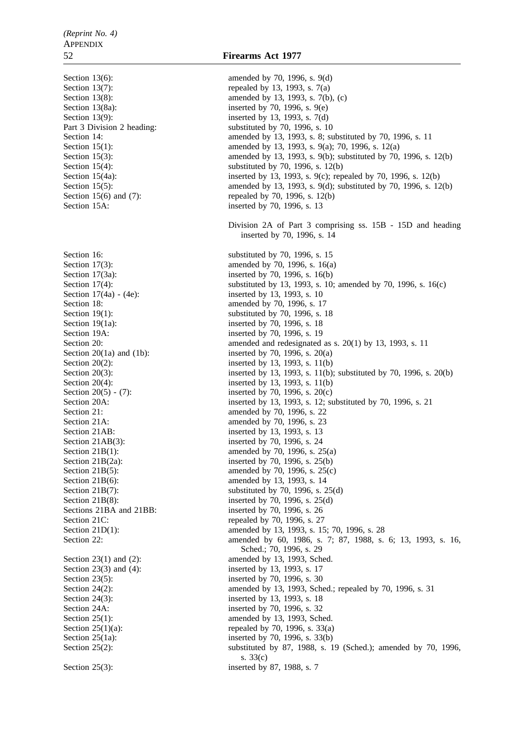Section 15A: inserted by 70, 1996, s. 13 Section 19(1a): inserted by 70, 1996, s. 18 Section 19A: inserted by 70, 1996, s. 19 Section 21AB: inserted by 13, 1993, s. 13 Section 21AB(3): inserted by 70, 1996, s. 24 Sections 21BA and 21BB: inserted by 70, 1996, s. 26 Section 21C: repealed by 70, 1996, s. 27 Section 23(3) and (4): inserted by 13, 1993, s. 17 Section 23(5): inserted by 70, 1996, s. 30 Section 24(3): inserted by 13, 1993, s. 18 Section 24A: inserted by 70, 1996, s. 32

Section 13(6): amended by 70, 1996, s. 9(d) Section 13(7): repealed by 13, 1993, s.  $7(a)$ Section 13(8): amended by 13, 1993, s. 7(b), (c) Section 13(8a): inserted by 70, 1996, s. 9(e) Section 13(9): inserted by 13, 1993, s. 7(d) Part 3 Division 2 heading: substituted by 70, 1996, s. 10 Section 14: **amended** by 13, 1993, s. 8; substituted by 70, 1996, s. 11 Section 15(1): amended by 13, 1993, s. 9(a); 70, 1996, s. 12(a) Section 15(3): amended by 13, 1993, s. 9(b); substituted by 70, 1996, s. 12(b) Section 15(4): substituted by 70, 1996, s. 12(b) Section 15(4a): inserted by 13, 1993, s. 9(c); repealed by 70, 1996, s. 12(b) Section 15(5): amended by 13, 1993, s. 9(d); substituted by 70, 1996, s. 12(b) Section 15(6) and (7): repealed by 70, 1996, s. 12(b) Division 2A of Part 3 comprising ss. 15B - 15D and heading inserted by 70, 1996, s. 14 Section 16: substituted by 70, 1996, s. 15 Section 17(3): amended by 70, 1996, s. 16(a) Section 17(3a): inserted by 70, 1996, s. 16(b) Section 17(4): substituted by 13, 1993, s. 10; amended by 70, 1996, s. 16(c)<br>Section 17(4a) - (4e): substituted by 13, 1993, s. 10 inserted by 13, 1993, s. 10 Section 18: **amended** by 70, 1996, s. 17 Section 19(1): substituted by 70, 1996, s. 18 Section 20: amended and redesignated as s. 20(1) by 13, 1993, s. 11 Section 20(1a) and (1b): inserted by 70, 1996, s.  $20(a)$ Section 20(2): inserted by 13, 1993, s. 11(b) Section 20(3): inserted by 13, 1993, s. 11(b); substituted by 70, 1996, s. 20(b) Section 20(4): inserted by 13, 1993, s. 11(b) Section  $20(5) - (7)$ : inserted by 70, 1996, s.  $20(c)$ Section 20A: inserted by 13, 1993, s. 12; substituted by 70, 1996, s. 21 Section 21: **amended** by 70, 1996, s. 22 Section 21A: amended by 70, 1996, s. 23 Section 21B(1): amended by 70, 1996, s. 25(a) Section 21B(2a): inserted by 70, 1996, s. 25(b) Section 21B(5): amended by 70, 1996, s. 25(c) Section 21B(6): amended by 13, 1993, s. 14 Section  $21B(7)$ : substituted by 70, 1996, s. 25(d) Section 21B(8): inserted by 70, 1996, s. 25(d) Section 21D(1): amended by 13, 1993, s. 15; 70, 1996, s. 28 Section 22: **amended** by 60, 1986, s. 7; 87, 1988, s. 6; 13, 1993, s. 16, Sched.; 70, 1996, s. 29 Section 23(1) and (2): amended by 13, 1993, Sched. Section 24(2): amended by 13, 1993, Sched.; repealed by 70, 1996, s. 31 Section 25(1): amended by 13, 1993, Sched. Section  $25(1)(a)$ : repealed by 70, 1996, s. 33(a) Section 25(1a): inserted by 70, 1996, s. 33(b) Section 25(2): substituted by 87, 1988, s. 19 (Sched.); amended by 70, 1996, s. 33(c) Section 25(3): inserted by 87, 1988, s. 7